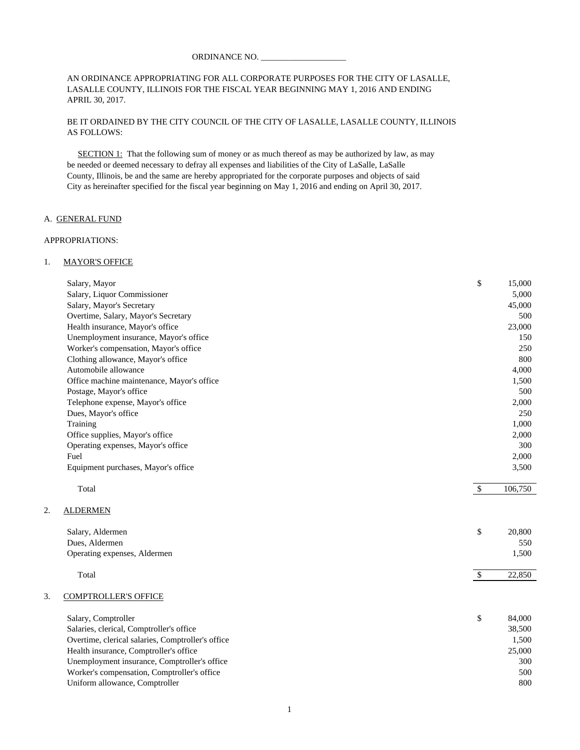AN ORDINANCE APPROPRIATING FOR ALL CORPORATE PURPOSES FOR THE CITY OF LASALLE, LASALLE COUNTY, ILLINOIS FOR THE FISCAL YEAR BEGINNING MAY 1, 2016 AND ENDING APRIL 30, 2017.

BE IT ORDAINED BY THE CITY COUNCIL OF THE CITY OF LASALLE, LASALLE COUNTY, ILLINOIS AS FOLLOWS:

SECTION 1: That the following sum of money or as much thereof as may be authorized by law, as may be needed or deemed necessary to defray all expenses and liabilities of the City of LaSalle, LaSalle County, Illinois, be and the same are hereby appropriated for the corporate purposes and objects of said City as hereinafter specified for the fiscal year beginning on May 1, 2016 and ending on April 30, 2017.

# A. GENERAL FUND

#### APPROPRIATIONS:

#### 1. MAYOR'S OFFICE

|    | Salary, Mayor                                     | \$           | 15,000  |
|----|---------------------------------------------------|--------------|---------|
|    | Salary, Liquor Commissioner                       |              | 5,000   |
|    | Salary, Mayor's Secretary                         |              | 45,000  |
|    | Overtime, Salary, Mayor's Secretary               |              | 500     |
|    | Health insurance, Mayor's office                  |              | 23,000  |
|    | Unemployment insurance, Mayor's office            |              | 150     |
|    | Worker's compensation, Mayor's office             |              | 250     |
|    | Clothing allowance, Mayor's office                |              | 800     |
|    | Automobile allowance                              |              | 4,000   |
|    | Office machine maintenance, Mayor's office        |              | 1,500   |
|    | Postage, Mayor's office                           |              | 500     |
|    | Telephone expense, Mayor's office                 |              | 2,000   |
|    | Dues, Mayor's office                              |              | 250     |
|    | Training                                          |              | 1,000   |
|    | Office supplies, Mayor's office                   |              | 2,000   |
|    | Operating expenses, Mayor's office                |              | 300     |
|    | Fuel                                              |              | 2,000   |
|    | Equipment purchases, Mayor's office               |              | 3,500   |
|    | Total                                             | $\sqrt{S}$   | 106,750 |
| 2. | <b>ALDERMEN</b>                                   |              |         |
|    | Salary, Aldermen                                  | \$           | 20,800  |
|    | Dues, Aldermen                                    |              | 550     |
|    | Operating expenses, Aldermen                      |              | 1,500   |
|    | Total                                             | $\mathbb{S}$ | 22,850  |
| 3. | <b>COMPTROLLER'S OFFICE</b>                       |              |         |
|    | Salary, Comptroller                               | \$           | 84,000  |
|    | Salaries, clerical, Comptroller's office          |              | 38,500  |
|    | Overtime, clerical salaries, Comptroller's office |              | 1,500   |
|    | Health insurance, Comptroller's office            |              | 25,000  |
|    | Unemployment insurance, Comptroller's office      |              | 300     |
|    | Worker's compensation, Comptroller's office       |              | 500     |
|    | Uniform allowance, Comptroller                    |              | 800     |
|    |                                                   |              |         |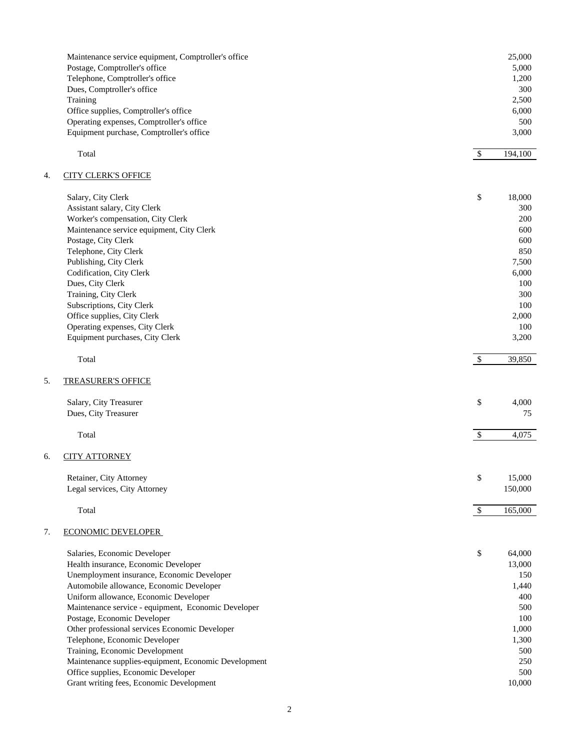|    | Maintenance service equipment, Comptroller's office  |                           | 25,000  |
|----|------------------------------------------------------|---------------------------|---------|
|    | Postage, Comptroller's office                        |                           | 5,000   |
|    | Telephone, Comptroller's office                      |                           | 1,200   |
|    | Dues, Comptroller's office                           |                           | 300     |
|    | Training                                             |                           | 2,500   |
|    | Office supplies, Comptroller's office                |                           | 6,000   |
|    | Operating expenses, Comptroller's office             |                           | 500     |
|    | Equipment purchase, Comptroller's office             |                           | 3,000   |
|    | Total                                                | $\mathcal{S}$             | 194,100 |
|    |                                                      |                           |         |
| 4. | <b>CITY CLERK'S OFFICE</b>                           |                           |         |
|    | Salary, City Clerk                                   | \$                        | 18,000  |
|    | Assistant salary, City Clerk                         |                           | 300     |
|    | Worker's compensation, City Clerk                    |                           | 200     |
|    | Maintenance service equipment, City Clerk            |                           | 600     |
|    | Postage, City Clerk                                  |                           | 600     |
|    | Telephone, City Clerk                                |                           | 850     |
|    | Publishing, City Clerk                               |                           | 7,500   |
|    | Codification, City Clerk                             |                           | 6,000   |
|    | Dues, City Clerk                                     |                           | 100     |
|    | Training, City Clerk                                 |                           | 300     |
|    | Subscriptions, City Clerk                            |                           | 100     |
|    | Office supplies, City Clerk                          |                           | 2,000   |
|    | Operating expenses, City Clerk                       |                           | 100     |
|    | Equipment purchases, City Clerk                      |                           | 3,200   |
|    | Total                                                | \$                        | 39,850  |
| 5. | <b>TREASURER'S OFFICE</b>                            |                           |         |
|    | Salary, City Treasurer                               | \$                        | 4,000   |
|    |                                                      |                           |         |
|    | Dues, City Treasurer                                 |                           | 75      |
|    | Total                                                | $\boldsymbol{\mathsf{S}}$ | 4,075   |
| б. | <b>CITY ATTORNEY</b>                                 |                           |         |
|    | Retainer, City Attorney                              | \$                        | 15,000  |
|    | Legal services, City Attorney                        |                           | 150,000 |
|    |                                                      |                           |         |
|    | Total                                                | $\mathbb{S}$              | 165,000 |
| 7. | <b>ECONOMIC DEVELOPER</b>                            |                           |         |
|    | Salaries, Economic Developer                         | \$                        | 64,000  |
|    | Health insurance, Economic Developer                 |                           | 13,000  |
|    | Unemployment insurance, Economic Developer           |                           | 150     |
|    | Automobile allowance, Economic Developer             |                           | 1,440   |
|    | Uniform allowance, Economic Developer                |                           | 400     |
|    | Maintenance service - equipment, Economic Developer  |                           | 500     |
|    | Postage, Economic Developer                          |                           | 100     |
|    | Other professional services Economic Developer       |                           | 1,000   |
|    |                                                      |                           |         |
|    | Telephone, Economic Developer                        |                           | 1,300   |
|    | Training, Economic Development                       |                           | 500     |
|    | Maintenance supplies-equipment, Economic Development |                           | 250     |
|    | Office supplies, Economic Developer                  |                           | 500     |
|    | Grant writing fees, Economic Development             |                           | 10,000  |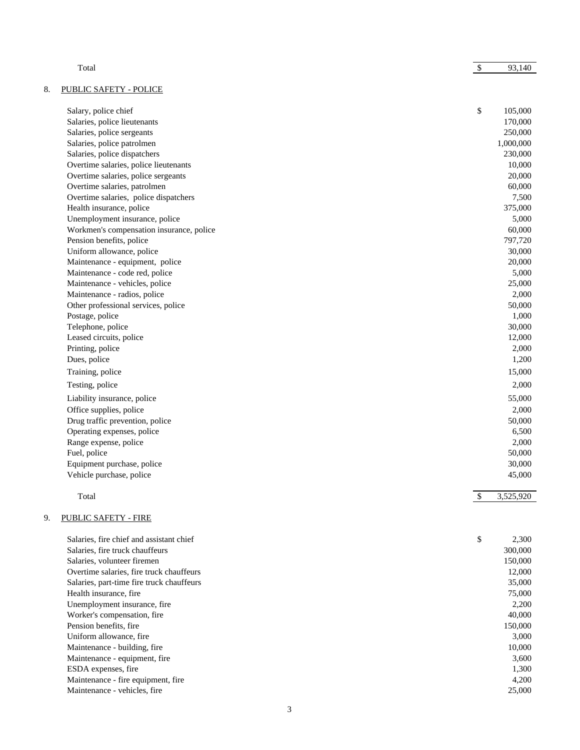|    | Total                                     | $\sqrt{3}$ | 93,140    |
|----|-------------------------------------------|------------|-----------|
| 8. | <b>PUBLIC SAFETY - POLICE</b>             |            |           |
|    | Salary, police chief                      | \$         | 105,000   |
|    | Salaries, police lieutenants              |            | 170,000   |
|    | Salaries, police sergeants                |            | 250,000   |
|    | Salaries, police patrolmen                |            | 1,000,000 |
|    | Salaries, police dispatchers              |            | 230,000   |
|    | Overtime salaries, police lieutenants     |            | 10,000    |
|    | Overtime salaries, police sergeants       |            | 20,000    |
|    | Overtime salaries, patrolmen              |            | 60,000    |
|    | Overtime salaries, police dispatchers     |            | 7,500     |
|    | Health insurance, police                  |            | 375,000   |
|    | Unemployment insurance, police            |            | 5,000     |
|    | Workmen's compensation insurance, police  |            | 60,000    |
|    | Pension benefits, police                  |            | 797,720   |
|    | Uniform allowance, police                 |            | 30,000    |
|    | Maintenance - equipment, police           |            | 20,000    |
|    | Maintenance - code red, police            |            | 5,000     |
|    | Maintenance - vehicles, police            |            | 25,000    |
|    | Maintenance - radios, police              |            | 2,000     |
|    | Other professional services, police       |            | 50,000    |
|    | Postage, police                           |            | 1,000     |
|    | Telephone, police                         |            | 30,000    |
|    | Leased circuits, police                   |            | 12,000    |
|    | Printing, police                          |            | 2,000     |
|    | Dues, police                              |            | 1,200     |
|    | Training, police                          |            | 15,000    |
|    | Testing, police                           |            | 2,000     |
|    | Liability insurance, police               |            | 55,000    |
|    | Office supplies, police                   |            | 2,000     |
|    | Drug traffic prevention, police           |            | 50,000    |
|    | Operating expenses, police                |            | 6,500     |
|    | Range expense, police                     |            | 2,000     |
|    | Fuel, police                              |            | 50,000    |
|    | Equipment purchase, police                |            | 30,000    |
|    | Vehicle purchase, police                  |            | 45,000    |
|    | Total                                     | \$         | 3,525,920 |
| 9. | <b>PUBLIC SAFETY - FIRE</b>               |            |           |
|    | Salaries, fire chief and assistant chief  | \$         | 2,300     |
|    | Salaries, fire truck chauffeurs           |            | 300,000   |
|    | Salaries, volunteer firemen               |            | 150,000   |
|    | Overtime salaries, fire truck chauffeurs  |            | 12,000    |
|    | Salaries, part-time fire truck chauffeurs |            | 35,000    |
|    | Health insurance, fire                    |            | 75,000    |
|    | Unemployment insurance, fire              |            | 2,200     |
|    | Worker's compensation, fire               |            | 40,000    |
|    | Pension benefits, fire                    |            | 150,000   |
|    | Uniform allowance, fire                   |            | 3,000     |
|    | Maintenance - building, fire              |            | 10,000    |
|    | Maintenance - equipment, fire             |            | 3,600     |
|    | ESDA expenses, fire                       |            | 1,300     |
|    | Maintenance - fire equipment, fire        |            | 4,200     |

Maintenance - vehicles, fire 25,000

3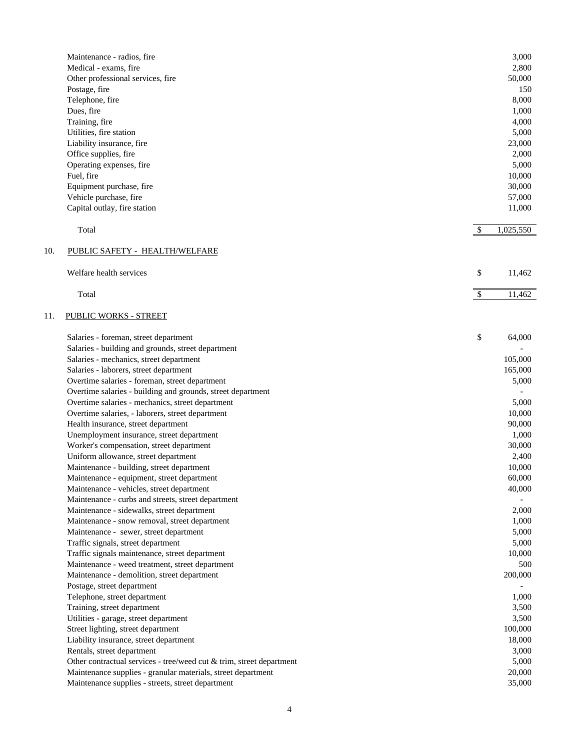|     | Maintenance - radios, fire<br>Medical - exams, fire                                             |              | 3,000<br>2,800 |
|-----|-------------------------------------------------------------------------------------------------|--------------|----------------|
|     |                                                                                                 |              |                |
|     | Other professional services, fire                                                               |              | 50,000         |
|     | Postage, fire                                                                                   |              | 150            |
|     | Telephone, fire                                                                                 |              | 8,000          |
|     | Dues, fire                                                                                      |              | 1,000          |
|     | Training, fire                                                                                  |              | 4,000          |
|     | Utilities, fire station                                                                         |              | 5,000          |
|     | Liability insurance, fire                                                                       |              | 23,000         |
|     | Office supplies, fire                                                                           |              | 2,000          |
|     | Operating expenses, fire                                                                        |              | 5,000          |
|     | Fuel, fire                                                                                      |              | 10,000         |
|     | Equipment purchase, fire                                                                        |              | 30,000         |
|     | Vehicle purchase, fire                                                                          |              | 57,000         |
|     | Capital outlay, fire station                                                                    |              | 11,000         |
|     | Total                                                                                           | $\mathbb{S}$ | 1,025,550      |
| 10. | PUBLIC SAFETY - HEALTH/WELFARE                                                                  |              |                |
|     | Welfare health services                                                                         | \$           | 11,462         |
|     | Total                                                                                           | $\mathbb{S}$ | 11,462         |
| 11. | <b>PUBLIC WORKS - STREET</b>                                                                    |              |                |
|     | Salaries - foreman, street department                                                           | \$           | 64,000         |
|     | Salaries - building and grounds, street department                                              |              |                |
|     | Salaries - mechanics, street department                                                         |              | 105,000        |
|     | Salaries - laborers, street department                                                          |              | 165,000        |
|     | Overtime salaries - foreman, street department                                                  |              | 5,000          |
|     | Overtime salaries - building and grounds, street department                                     |              |                |
|     | Overtime salaries - mechanics, street department                                                |              | 5,000          |
|     | Overtime salaries, - laborers, street department                                                |              | 10,000         |
|     | Health insurance, street department                                                             |              | 90,000         |
|     | Unemployment insurance, street department                                                       |              | 1,000          |
|     | Worker's compensation, street department                                                        |              | 30,000         |
|     | Uniform allowance, street department                                                            |              | 2,400          |
|     | Maintenance - building, street department                                                       |              |                |
|     |                                                                                                 |              | 10,000         |
|     | Maintenance - equipment, street department                                                      |              | 60,000         |
|     | Maintenance - vehicles, street department<br>Maintenance - curbs and streets, street department |              | 40,000         |
|     | Maintenance - sidewalks, street department                                                      |              | 2,000          |
|     | Maintenance - snow removal, street department                                                   |              | 1,000          |
|     | Maintenance - sewer, street department                                                          |              | 5,000          |
|     | Traffic signals, street department                                                              |              | 5,000          |
|     | Traffic signals maintenance, street department                                                  |              | 10,000         |
|     | Maintenance - weed treatment, street department                                                 |              | 500            |
|     | Maintenance - demolition, street department                                                     |              | 200,000        |
|     | Postage, street department                                                                      |              |                |
|     |                                                                                                 |              | 1,000          |
|     | Telephone, street department<br>Training, street department                                     |              | 3,500          |
|     |                                                                                                 |              | 3,500          |
|     | Utilities - garage, street department                                                           |              |                |
|     | Street lighting, street department                                                              |              | 100,000        |
|     | Liability insurance, street department                                                          |              | 18,000         |
|     | Rentals, street department                                                                      |              | 3,000          |
|     | Other contractual services - tree/weed cut & trim, street department                            |              | 5,000          |
|     | Maintenance supplies - granular materials, street department                                    |              | 20,000         |
|     | Maintenance supplies - streets, street department                                               |              | 35,000         |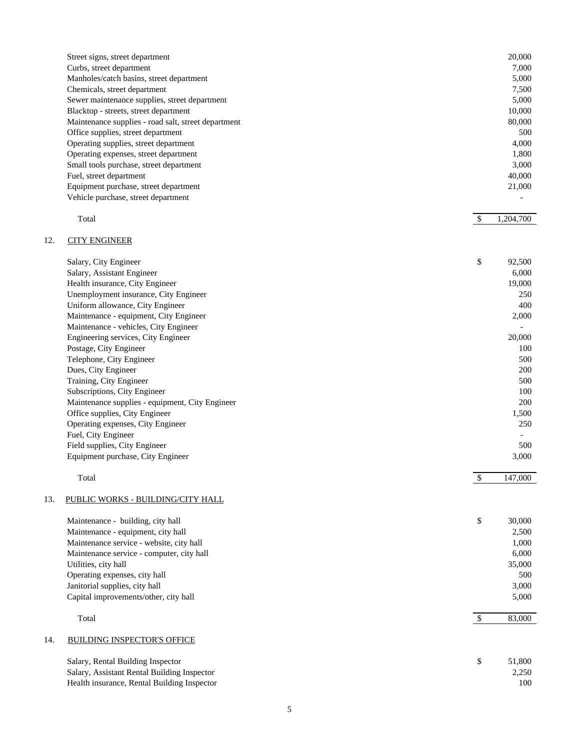| Street signs, street department                     | 20,000    |
|-----------------------------------------------------|-----------|
| Curbs, street department                            | 7,000     |
| Manholes/catch basins, street department            | 5,000     |
| Chemicals, street department                        | 7,500     |
| Sewer maintenance supplies, street department       | 5,000     |
| Blacktop - streets, street department               | 10,000    |
| Maintenance supplies - road salt, street department | 80,000    |
| Office supplies, street department                  | 500       |
| Operating supplies, street department               | 4,000     |
| Operating expenses, street department               | 1,800     |
| Small tools purchase, street department             | 3,000     |
| Fuel, street department                             | 40,000    |
| Equipment purchase, street department               | 21,000    |
| Vehicle purchase, street department                 |           |
| Total                                               | 1,204,700 |
|                                                     |           |

# 12. CITY ENGINEER

| Salary, City Engineer                           | \$<br>92,500             |
|-------------------------------------------------|--------------------------|
| Salary, Assistant Engineer                      | 6,000                    |
| Health insurance, City Engineer                 | 19,000                   |
| Unemployment insurance, City Engineer           | 250                      |
| Uniform allowance, City Engineer                | 400                      |
| Maintenance - equipment, City Engineer          | 2,000                    |
| Maintenance - vehicles, City Engineer           |                          |
| Engineering services, City Engineer             | 20,000                   |
| Postage, City Engineer                          | 100                      |
| Telephone, City Engineer                        | 500                      |
| Dues, City Engineer                             | <b>200</b>               |
| Training, City Engineer                         | 500                      |
| Subscriptions, City Engineer                    | 100                      |
| Maintenance supplies - equipment, City Engineer | <b>200</b>               |
| Office supplies, City Engineer                  | 1,500                    |
| Operating expenses, City Engineer               | 250                      |
| Fuel, City Engineer                             | $\overline{\phantom{0}}$ |
| Field supplies, City Engineer                   | 500                      |
| Equipment purchase, City Engineer               | 3,000                    |
|                                                 |                          |
| Total                                           | 147,000                  |

# 13. PUBLIC WORKS - BUILDING/CITY HALL

|     | Maintenance - building, city hall           | \$<br>30,000 |
|-----|---------------------------------------------|--------------|
|     | Maintenance - equipment, city hall          | 2,500        |
|     | Maintenance service - website, city hall    | 1,000        |
|     | Maintenance service - computer, city hall   | 6.000        |
|     | Utilities, city hall                        | 35,000       |
|     | Operating expenses, city hall               | 500          |
|     | Janitorial supplies, city hall              | 3,000        |
|     | Capital improvements/other, city hall       | 5,000        |
|     | Total                                       | 83,000       |
| 14. | <b>BUILDING INSPECTOR'S OFFICE</b>          |              |
|     | Salary, Rental Building Inspector           | \$<br>51,800 |
|     | Salary, Assistant Rental Building Inspector | 2,250        |

Health insurance, Rental Building Inspector 100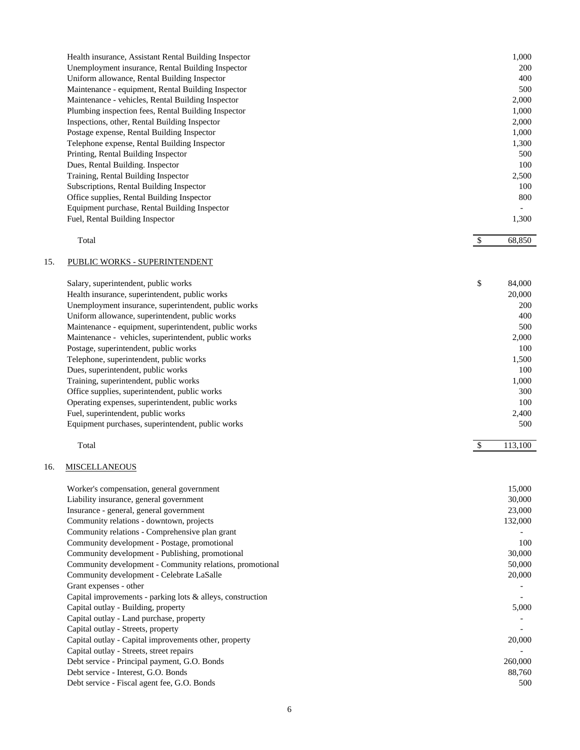| Health insurance, Assistant Rental Building Inspector | 1,000 |
|-------------------------------------------------------|-------|
| Unemployment insurance, Rental Building Inspector     | 200   |
| Uniform allowance, Rental Building Inspector          | 400   |
| Maintenance - equipment, Rental Building Inspector    | 500   |
| Maintenance - vehicles, Rental Building Inspector     | 2,000 |
| Plumbing inspection fees, Rental Building Inspector   | 1,000 |
| Inspections, other, Rental Building Inspector         | 2,000 |
| Postage expense, Rental Building Inspector            | 1,000 |
| Telephone expense, Rental Building Inspector          | 1,300 |
| Printing, Rental Building Inspector                   | 500   |
| Dues, Rental Building. Inspector                      | 100   |
| Training, Rental Building Inspector                   | 2,500 |
| Subscriptions, Rental Building Inspector              | 100   |
| Office supplies, Rental Building Inspector            | 800   |
| Equipment purchase, Rental Building Inspector         |       |
| Fuel, Rental Building Inspector                       | 1,300 |
|                                                       |       |

| $\sim$<br><b>Contract Contract Contract</b><br>Total |  |  | $\sim$ $\sim$ $\sim$<br>יי |
|------------------------------------------------------|--|--|----------------------------|
|                                                      |  |  |                            |

# 15. PUBLIC WORKS - SUPERINTENDENT

| Salary, superintendent, public works                  | \$<br>84,000 |
|-------------------------------------------------------|--------------|
| Health insurance, superintendent, public works        | 20,000       |
| Unemployment insurance, superintendent, public works  | <b>200</b>   |
| Uniform allowance, superintendent, public works       | 400          |
| Maintenance - equipment, superintendent, public works | 500          |
| Maintenance - vehicles, superintendent, public works  | 2,000        |
| Postage, superintendent, public works                 | 100          |
| Telephone, superintendent, public works               | 1,500        |
| Dues, superintendent, public works                    | 100          |
| Training, superintendent, public works                | 1,000        |
| Office supplies, superintendent, public works         | 300          |
| Operating expenses, superintendent, public works      | 100          |
| Fuel, superintendent, public works                    | 2,400        |
| Equipment purchases, superintendent, public works     | 500          |

# Total **\$** 113,100

# 16. MISCELLANEOUS

| Worker's compensation, general government                     | 15,000  |
|---------------------------------------------------------------|---------|
| Liability insurance, general government                       | 30,000  |
| Insurance - general, general government                       | 23,000  |
| Community relations - downtown, projects                      | 132,000 |
| Community relations - Comprehensive plan grant                |         |
| Community development - Postage, promotional                  | 100     |
| Community development - Publishing, promotional               | 30,000  |
| Community development - Community relations, promotional      | 50,000  |
| Community development - Celebrate LaSalle                     | 20,000  |
| Grant expenses - other                                        |         |
| Capital improvements - parking lots $\&$ alleys, construction |         |
| Capital outlay - Building, property                           | 5,000   |
| Capital outlay - Land purchase, property                      |         |
| Capital outlay - Streets, property                            |         |
| Capital outlay - Capital improvements other, property         | 20,000  |
| Capital outlay - Streets, street repairs                      |         |
| Debt service - Principal payment, G.O. Bonds                  | 260,000 |
| Debt service - Interest, G.O. Bonds                           | 88,760  |
| Debt service - Fiscal agent fee, G.O. Bonds                   | 500     |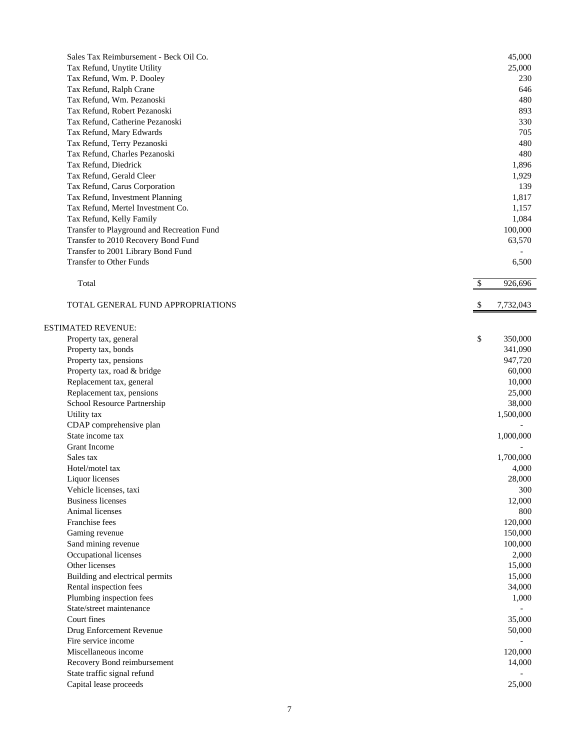| Sales Tax Reimbursement - Beck Oil Co.     | 45,000          |
|--------------------------------------------|-----------------|
| Tax Refund, Unytite Utility                | 25,000          |
| Tax Refund, Wm. P. Dooley                  | 230             |
| Tax Refund, Ralph Crane                    | 646             |
| Tax Refund, Wm. Pezanoski                  | 480             |
| Tax Refund, Robert Pezanoski               | 893             |
| Tax Refund, Catherine Pezanoski            | 330             |
| Tax Refund, Mary Edwards                   | 705             |
| Tax Refund, Terry Pezanoski                | 480             |
| Tax Refund, Charles Pezanoski              | 480             |
| Tax Refund, Diedrick                       | 1,896           |
| Tax Refund, Gerald Cleer                   | 1,929           |
| Tax Refund, Carus Corporation              | 139             |
| Tax Refund, Investment Planning            | 1,817           |
| Tax Refund, Mertel Investment Co.          | 1,157           |
| Tax Refund, Kelly Family                   | 1,084           |
| Transfer to Playground and Recreation Fund | 100,000         |
| Transfer to 2010 Recovery Bond Fund        | 63,570          |
| Transfer to 2001 Library Bond Fund         |                 |
| Transfer to Other Funds                    | 6,500           |
|                                            |                 |
| Total                                      | \$<br>926,696   |
| TOTAL GENERAL FUND APPROPRIATIONS          | 7,732,043<br>\$ |
|                                            |                 |
| <b>ESTIMATED REVENUE:</b>                  |                 |
| Property tax, general                      | \$<br>350,000   |
| Property tax, bonds                        | 341,090         |
| Property tax, pensions                     | 947,720         |
| Property tax, road & bridge                | 60,000          |
| Replacement tax, general                   | 10,000          |
| Replacement tax, pensions                  | 25,000          |
| School Resource Partnership                | 38,000          |
| Utility tax                                | 1,500,000       |
| CDAP comprehensive plan                    |                 |
| State income tax                           | 1,000,000       |
| <b>Grant Income</b>                        |                 |
| Sales tax                                  | 1,700,000       |
| Hotel/motel tax                            | 4,000           |
| Liquor licenses                            | 28,000          |
| Vehicle licenses, taxi                     | 300             |
| <b>Business licenses</b>                   | 12,000          |
| Animal licenses                            | 800             |
| Franchise fees                             | 120,000         |
| Gaming revenue                             | 150,000         |
| Sand mining revenue                        | 100,000         |
| Occupational licenses                      | 2,000           |
| Other licenses                             | 15,000          |
| Building and electrical permits            | 15,000          |
| Rental inspection fees                     | 34,000          |
| Plumbing inspection fees                   | 1,000           |
| State/street maintenance                   |                 |
| Court fines                                | 35,000          |
| Drug Enforcement Revenue                   | 50,000          |
| Fire service income                        |                 |
| Miscellaneous income                       | 120,000         |
| Recovery Bond reimbursement                | 14,000          |
| State traffic signal refund                |                 |
| Capital lease proceeds                     | 25,000          |
|                                            |                 |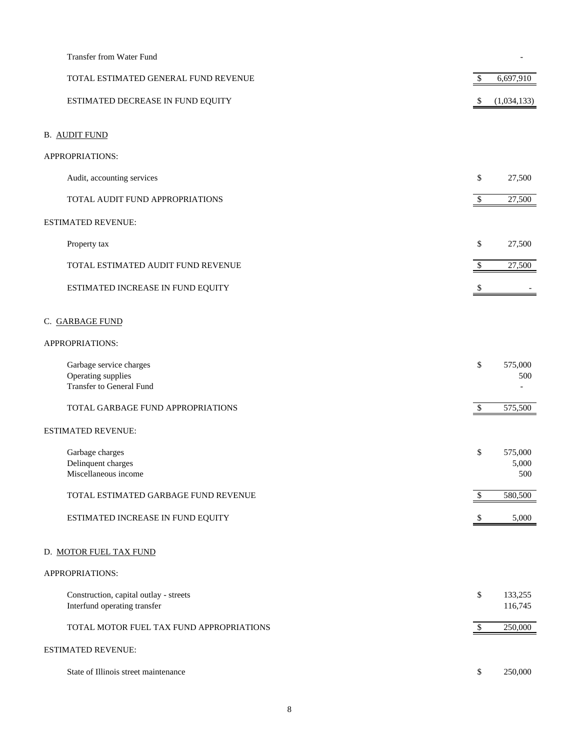| Transfer from Water Fund                                                  |        |                         |
|---------------------------------------------------------------------------|--------|-------------------------|
| TOTAL ESTIMATED GENERAL FUND REVENUE                                      | \$     | 6,697,910               |
| ESTIMATED DECREASE IN FUND EQUITY                                         | \$     | (1,034,133)             |
| <b>B. AUDIT FUND</b>                                                      |        |                         |
| APPROPRIATIONS:                                                           |        |                         |
| Audit, accounting services                                                | \$     | 27,500                  |
| TOTAL AUDIT FUND APPROPRIATIONS                                           | $\$\,$ | 27,500                  |
| ESTIMATED REVENUE:                                                        |        |                         |
| Property tax                                                              | \$     | 27,500                  |
| TOTAL ESTIMATED AUDIT FUND REVENUE                                        | \$     | 27,500                  |
| ESTIMATED INCREASE IN FUND EQUITY                                         | S      |                         |
| C. GARBAGE FUND                                                           |        |                         |
| APPROPRIATIONS:                                                           |        |                         |
| Garbage service charges<br>Operating supplies<br>Transfer to General Fund | \$     | 575,000<br>500          |
| TOTAL GARBAGE FUND APPROPRIATIONS                                         | $\$$   | 575,500                 |
| ESTIMATED REVENUE:                                                        |        |                         |
| Garbage charges<br>Delinquent charges<br>Miscellaneous income             | \$     | 575,000<br>5,000<br>500 |
| TOTAL ESTIMATED GARBAGE FUND REVENUE                                      | \$     | 580,500                 |
| ESTIMATED INCREASE IN FUND EQUITY                                         |        | 5,000                   |
| D. MOTOR FUEL TAX FUND                                                    |        |                         |
| APPROPRIATIONS:                                                           |        |                         |
| Construction, capital outlay - streets<br>Interfund operating transfer    | \$     | 133,255<br>116,745      |
| TOTAL MOTOR FUEL TAX FUND APPROPRIATIONS                                  | $\$\,$ | 250,000                 |
| ESTIMATED REVENUE:                                                        |        |                         |
| State of Illinois street maintenance                                      | \$     | 250,000                 |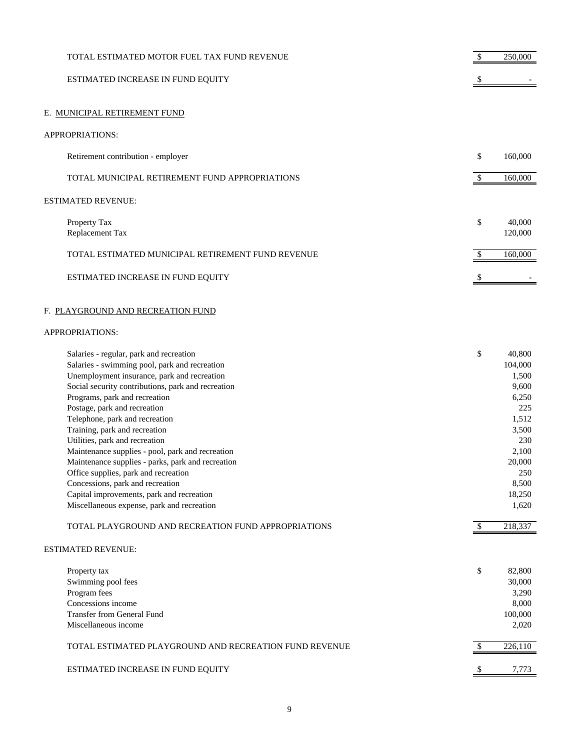| TOTAL ESTIMATED MOTOR FUEL TAX FUND REVENUE                                                                                                                                                                                                                                                                                                                                                                                                                                                                                                                                                                                                         |    | 250,000                                                                                                                            |
|-----------------------------------------------------------------------------------------------------------------------------------------------------------------------------------------------------------------------------------------------------------------------------------------------------------------------------------------------------------------------------------------------------------------------------------------------------------------------------------------------------------------------------------------------------------------------------------------------------------------------------------------------------|----|------------------------------------------------------------------------------------------------------------------------------------|
| ESTIMATED INCREASE IN FUND EQUITY                                                                                                                                                                                                                                                                                                                                                                                                                                                                                                                                                                                                                   |    |                                                                                                                                    |
| E. MUNICIPAL RETIREMENT FUND                                                                                                                                                                                                                                                                                                                                                                                                                                                                                                                                                                                                                        |    |                                                                                                                                    |
| APPROPRIATIONS:                                                                                                                                                                                                                                                                                                                                                                                                                                                                                                                                                                                                                                     |    |                                                                                                                                    |
| Retirement contribution - employer                                                                                                                                                                                                                                                                                                                                                                                                                                                                                                                                                                                                                  | \$ | 160,000                                                                                                                            |
| TOTAL MUNICIPAL RETIREMENT FUND APPROPRIATIONS                                                                                                                                                                                                                                                                                                                                                                                                                                                                                                                                                                                                      | \$ | 160,000                                                                                                                            |
| <b>ESTIMATED REVENUE:</b>                                                                                                                                                                                                                                                                                                                                                                                                                                                                                                                                                                                                                           |    |                                                                                                                                    |
| Property Tax<br>Replacement Tax                                                                                                                                                                                                                                                                                                                                                                                                                                                                                                                                                                                                                     | \$ | 40,000<br>120,000                                                                                                                  |
| TOTAL ESTIMATED MUNICIPAL RETIREMENT FUND REVENUE                                                                                                                                                                                                                                                                                                                                                                                                                                                                                                                                                                                                   | \$ | 160,000                                                                                                                            |
| ESTIMATED INCREASE IN FUND EQUITY                                                                                                                                                                                                                                                                                                                                                                                                                                                                                                                                                                                                                   | S  |                                                                                                                                    |
| F. PLAYGROUND AND RECREATION FUND                                                                                                                                                                                                                                                                                                                                                                                                                                                                                                                                                                                                                   |    |                                                                                                                                    |
| APPROPRIATIONS:                                                                                                                                                                                                                                                                                                                                                                                                                                                                                                                                                                                                                                     |    |                                                                                                                                    |
| Salaries - regular, park and recreation<br>Salaries - swimming pool, park and recreation<br>Unemployment insurance, park and recreation<br>Social security contributions, park and recreation<br>Programs, park and recreation<br>Postage, park and recreation<br>Telephone, park and recreation<br>Training, park and recreation<br>Utilities, park and recreation<br>Maintenance supplies - pool, park and recreation<br>Maintenance supplies - parks, park and recreation<br>Office supplies, park and recreation<br>Concessions, park and recreation<br>Capital improvements, park and recreation<br>Miscellaneous expense, park and recreation | \$ | 40,800<br>104,000<br>1,500<br>9,600<br>6,250<br>225<br>1,512<br>3,500<br>230<br>2,100<br>20,000<br>250<br>8,500<br>18,250<br>1,620 |
| TOTAL PLAYGROUND AND RECREATION FUND APPROPRIATIONS                                                                                                                                                                                                                                                                                                                                                                                                                                                                                                                                                                                                 | \$ | 218,337                                                                                                                            |
| <b>ESTIMATED REVENUE:</b>                                                                                                                                                                                                                                                                                                                                                                                                                                                                                                                                                                                                                           |    |                                                                                                                                    |
| Property tax<br>Swimming pool fees<br>Program fees<br>Concessions income<br><b>Transfer from General Fund</b><br>Miscellaneous income                                                                                                                                                                                                                                                                                                                                                                                                                                                                                                               | \$ | 82,800<br>30,000<br>3,290<br>8,000<br>100,000<br>2,020                                                                             |
| TOTAL ESTIMATED PLAYGROUND AND RECREATION FUND REVENUE                                                                                                                                                                                                                                                                                                                                                                                                                                                                                                                                                                                              | \$ | 226,110                                                                                                                            |
| ESTIMATED INCREASE IN FUND EQUITY                                                                                                                                                                                                                                                                                                                                                                                                                                                                                                                                                                                                                   | -S | 7,773                                                                                                                              |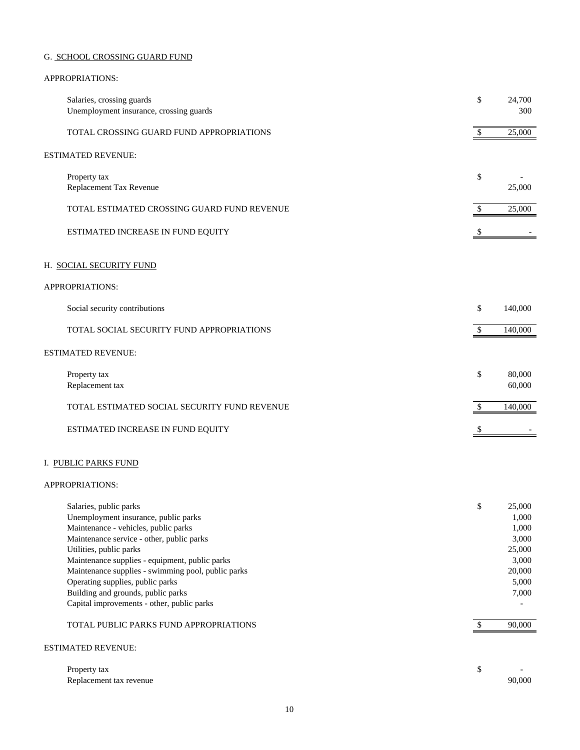# G. SCHOOL CROSSING GUARD FUND

## APPROPRIATIONS:

| Salaries, crossing guards<br>Unemployment insurance, crossing guards                                                                                                                                                                                                                                                                                                                                                                                     | \$       | 24,700<br>300                                                                              |
|----------------------------------------------------------------------------------------------------------------------------------------------------------------------------------------------------------------------------------------------------------------------------------------------------------------------------------------------------------------------------------------------------------------------------------------------------------|----------|--------------------------------------------------------------------------------------------|
| TOTAL CROSSING GUARD FUND APPROPRIATIONS                                                                                                                                                                                                                                                                                                                                                                                                                 | \$       | 25,000                                                                                     |
| ESTIMATED REVENUE:                                                                                                                                                                                                                                                                                                                                                                                                                                       |          |                                                                                            |
| Property tax<br>Replacement Tax Revenue                                                                                                                                                                                                                                                                                                                                                                                                                  | \$       | 25,000                                                                                     |
| TOTAL ESTIMATED CROSSING GUARD FUND REVENUE                                                                                                                                                                                                                                                                                                                                                                                                              | \$       | 25,000                                                                                     |
| ESTIMATED INCREASE IN FUND EQUITY                                                                                                                                                                                                                                                                                                                                                                                                                        |          |                                                                                            |
| H. SOCIAL SECURITY FUND                                                                                                                                                                                                                                                                                                                                                                                                                                  |          |                                                                                            |
| APPROPRIATIONS:                                                                                                                                                                                                                                                                                                                                                                                                                                          |          |                                                                                            |
| Social security contributions                                                                                                                                                                                                                                                                                                                                                                                                                            | \$       | 140,000                                                                                    |
| TOTAL SOCIAL SECURITY FUND APPROPRIATIONS                                                                                                                                                                                                                                                                                                                                                                                                                | \$       | 140,000                                                                                    |
| <b>ESTIMATED REVENUE:</b>                                                                                                                                                                                                                                                                                                                                                                                                                                |          |                                                                                            |
| Property tax<br>Replacement tax                                                                                                                                                                                                                                                                                                                                                                                                                          | \$       | 80,000<br>60,000                                                                           |
| TOTAL ESTIMATED SOCIAL SECURITY FUND REVENUE                                                                                                                                                                                                                                                                                                                                                                                                             | \$       | 140,000                                                                                    |
| ESTIMATED INCREASE IN FUND EQUITY                                                                                                                                                                                                                                                                                                                                                                                                                        |          |                                                                                            |
| I. PUBLIC PARKS FUND                                                                                                                                                                                                                                                                                                                                                                                                                                     |          |                                                                                            |
| APPROPRIATIONS:                                                                                                                                                                                                                                                                                                                                                                                                                                          |          |                                                                                            |
| Salaries, public parks<br>Unemployment insurance, public parks<br>Maintenance - vehicles, public parks<br>Maintenance service - other, public parks<br>Utilities, public parks<br>Maintenance supplies - equipment, public parks<br>Maintenance supplies - swimming pool, public parks<br>Operating supplies, public parks<br>Building and grounds, public parks<br>Capital improvements - other, public parks<br>TOTAL PUBLIC PARKS FUND APPROPRIATIONS | \$<br>\$ | 25,000<br>1,000<br>1,000<br>3,000<br>25,000<br>3,000<br>20,000<br>5,000<br>7,000<br>90,000 |
| ESTIMATED REVENUE:                                                                                                                                                                                                                                                                                                                                                                                                                                       |          |                                                                                            |
| Property tax                                                                                                                                                                                                                                                                                                                                                                                                                                             | \$       |                                                                                            |

Replacement tax revenue 90,000 and the set of the set of the set of the set of the set of the set of the set of the set of the set of the set of the set of the set of the set of the set of the set of the set of the set of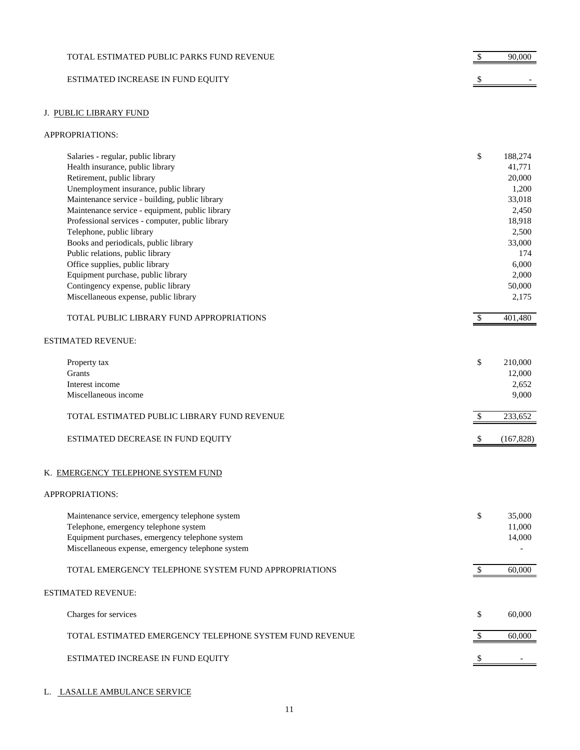| TOTAL ESTIMATED PUBLIC PARKS FUND REVENUE | 90,000 |
|-------------------------------------------|--------|
| ESTIMATED INCREASE IN FUND EQUITY         |        |

# J. PUBLIC LIBRARY FUND

#### APPROPRIATIONS:

| Salaries - regular, public library               | \$<br>188,274 |
|--------------------------------------------------|---------------|
| Health insurance, public library                 | 41,771        |
| Retirement, public library                       | 20,000        |
| Unemployment insurance, public library           | 1.200         |
| Maintenance service - building, public library   | 33,018        |
| Maintenance service - equipment, public library  | 2,450         |
| Professional services - computer, public library | 18,918        |
| Telephone, public library                        | 2,500         |
| Books and periodicals, public library            | 33,000        |
| Public relations, public library                 | 174           |
| Office supplies, public library                  | 6,000         |
| Equipment purchase, public library               | 2.000         |
| Contingency expense, public library              | 50,000        |
| Miscellaneous expense, public library            | 2,175         |
|                                                  |               |

| TOTAL PUBLIC LIBRARY FUND APPROPRIATIONS | 401,480 |
|------------------------------------------|---------|
|                                          |         |

# ESTIMATED REVENUE:

| Property tax                                | \$<br>210,000 |
|---------------------------------------------|---------------|
| Grants                                      | 12,000        |
| Interest income                             | 2,652         |
| Miscellaneous income                        | 9,000         |
|                                             |               |
| TOTAL ESTIMATED PUBLIC LIBRARY FUND REVENUE | 233.652       |
|                                             |               |
| ESTIMATED DECREASE IN FUND EQUITY           | (167, 828)    |

# K. EMERGENCY TELEPHONE SYSTEM FUND

#### APPROPRIATIONS:

| Maintenance service, emergency telephone system<br>Telephone, emergency telephone system<br>Equipment purchases, emergency telephone system<br>Miscellaneous expense, emergency telephone system | \$<br>35,000<br>11,000<br>14,000 |
|--------------------------------------------------------------------------------------------------------------------------------------------------------------------------------------------------|----------------------------------|
| TOTAL EMERGENCY TELEPHONE SYSTEM FUND APPROPRIATIONS                                                                                                                                             | 60,000                           |
| <b>ESTIMATED REVENUE:</b>                                                                                                                                                                        |                                  |
| Charges for services                                                                                                                                                                             | \$<br>60,000                     |
| TOTAL ESTIMATED EMERGENCY TELEPHONE SYSTEM FUND REVENUE                                                                                                                                          | 60.000                           |
| ESTIMATED INCREASE IN FUND EQUITY                                                                                                                                                                |                                  |

#### L. LASALLE AMBULANCE SERVICE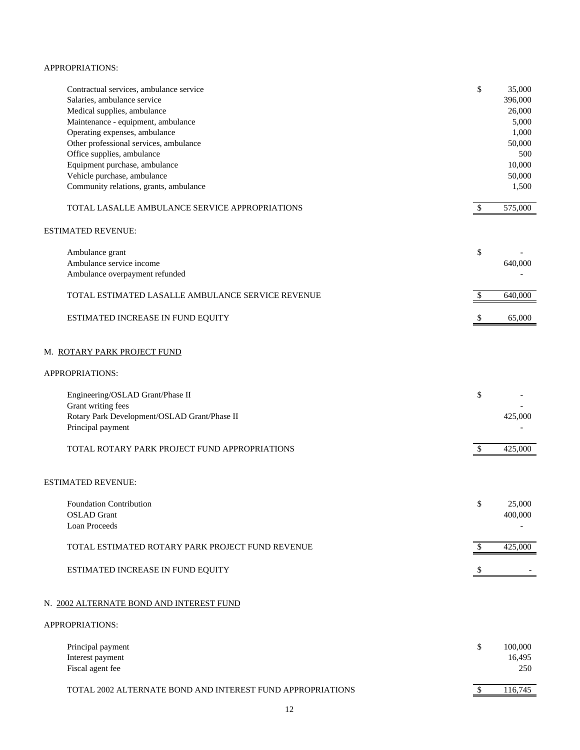#### APPROPRIATIONS:

| Contractual services, ambulance service<br>Salaries, ambulance service<br>Medical supplies, ambulance<br>Maintenance - equipment, ambulance<br>Operating expenses, ambulance | \$ | 35,000<br>396,000<br>26,000<br>5,000<br>1,000 |
|------------------------------------------------------------------------------------------------------------------------------------------------------------------------------|----|-----------------------------------------------|
| Other professional services, ambulance                                                                                                                                       |    | 50,000                                        |
| Office supplies, ambulance                                                                                                                                                   |    | 500                                           |
| Equipment purchase, ambulance                                                                                                                                                |    | 10,000                                        |
| Vehicle purchase, ambulance<br>Community relations, grants, ambulance                                                                                                        |    | 50,000<br>1,500                               |
|                                                                                                                                                                              |    |                                               |
| TOTAL LASALLE AMBULANCE SERVICE APPROPRIATIONS                                                                                                                               | \$ | 575,000                                       |
| <b>ESTIMATED REVENUE:</b>                                                                                                                                                    |    |                                               |
| Ambulance grant                                                                                                                                                              | \$ |                                               |
| Ambulance service income                                                                                                                                                     |    | 640,000                                       |
| Ambulance overpayment refunded                                                                                                                                               |    |                                               |
| TOTAL ESTIMATED LASALLE AMBULANCE SERVICE REVENUE                                                                                                                            | S  | 640,000                                       |
| ESTIMATED INCREASE IN FUND EQUITY                                                                                                                                            |    | 65,000                                        |
| M. ROTARY PARK PROJECT FUND                                                                                                                                                  |    |                                               |
| APPROPRIATIONS:                                                                                                                                                              |    |                                               |
| Engineering/OSLAD Grant/Phase II                                                                                                                                             | \$ |                                               |
| Grant writing fees                                                                                                                                                           |    |                                               |
| Rotary Park Development/OSLAD Grant/Phase II                                                                                                                                 |    | 425,000                                       |
| Principal payment                                                                                                                                                            |    |                                               |
| TOTAL ROTARY PARK PROJECT FUND APPROPRIATIONS                                                                                                                                | \$ | 425,000                                       |
| ESTIMATED REVENUE:                                                                                                                                                           |    |                                               |
|                                                                                                                                                                              |    |                                               |
| <b>Foundation Contribution</b>                                                                                                                                               | \$ | 25,000                                        |
| <b>OSLAD</b> Grant<br>Loan Proceeds                                                                                                                                          |    | 400,000                                       |
|                                                                                                                                                                              |    |                                               |
| TOTAL ESTIMATED ROTARY PARK PROJECT FUND REVENUE                                                                                                                             | \$ | 425,000                                       |
| ESTIMATED INCREASE IN FUND EQUITY                                                                                                                                            | \$ |                                               |
| N. 2002 ALTERNATE BOND AND INTEREST FUND                                                                                                                                     |    |                                               |
| APPROPRIATIONS:                                                                                                                                                              |    |                                               |
| Principal payment                                                                                                                                                            | \$ | 100,000                                       |
| Interest payment                                                                                                                                                             |    | 16,495                                        |
| Fiscal agent fee                                                                                                                                                             |    | 250                                           |
|                                                                                                                                                                              |    |                                               |

TOTAL 2002 ALTERNATE BOND AND INTEREST FUND APPROPRIATIONS  $$3$  116,745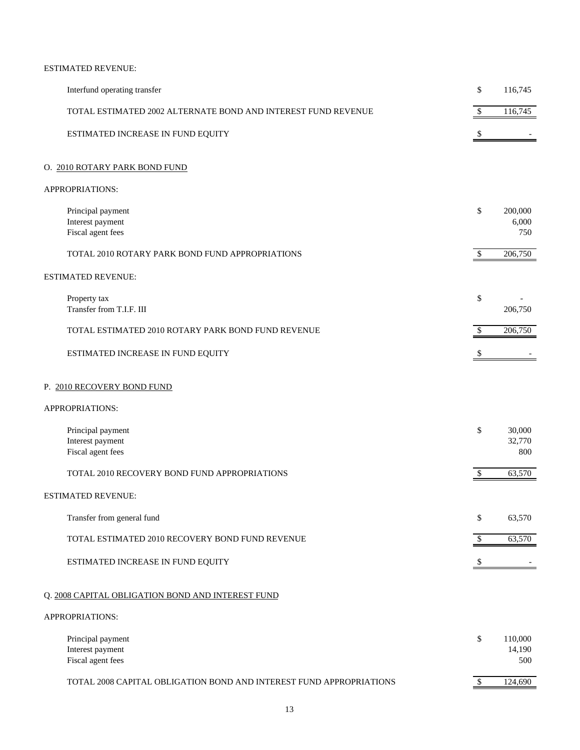# ESTIMATED REVENUE:

| Interfund operating transfer                                        | \$         | 116,745                  |
|---------------------------------------------------------------------|------------|--------------------------|
| TOTAL ESTIMATED 2002 ALTERNATE BOND AND INTEREST FUND REVENUE       | $\$\,$     | 116,745                  |
| ESTIMATED INCREASE IN FUND EQUITY                                   | \$         |                          |
| O. 2010 ROTARY PARK BOND FUND                                       |            |                          |
| APPROPRIATIONS:                                                     |            |                          |
| Principal payment<br>Interest payment<br>Fiscal agent fees          | \$         | 200,000<br>6,000<br>750  |
| TOTAL 2010 ROTARY PARK BOND FUND APPROPRIATIONS                     | \$         | 206,750                  |
| <b>ESTIMATED REVENUE:</b>                                           |            |                          |
| Property tax<br>Transfer from T.I.F. III                            | \$         | 206,750                  |
| TOTAL ESTIMATED 2010 ROTARY PARK BOND FUND REVENUE                  | \$         | 206,750                  |
| ESTIMATED INCREASE IN FUND EQUITY                                   | \$         |                          |
| P. 2010 RECOVERY BOND FUND                                          |            |                          |
| APPROPRIATIONS:                                                     |            |                          |
| Principal payment<br>Interest payment<br>Fiscal agent fees          | \$         | 30,000<br>32,770<br>800  |
| TOTAL 2010 RECOVERY BOND FUND APPROPRIATIONS                        | $\$$       | 63,570                   |
| ESTIMATED REVENUE:                                                  |            |                          |
| Transfer from general fund                                          | \$         | 63,570                   |
| TOTAL ESTIMATED 2010 RECOVERY BOND FUND REVENUE                     | \$         | 63,570                   |
| ESTIMATED INCREASE IN FUND EQUITY                                   | \$         |                          |
| Q. 2008 CAPITAL OBLIGATION BOND AND INTEREST FUND                   |            |                          |
| APPROPRIATIONS:                                                     |            |                          |
| Principal payment<br>Interest payment<br>Fiscal agent fees          | \$         | 110,000<br>14,190<br>500 |
| TOTAL 2008 CAPITAL OBLIGATION BOND AND INTEREST FUND APPROPRIATIONS | $\sqrt{S}$ | 124,690                  |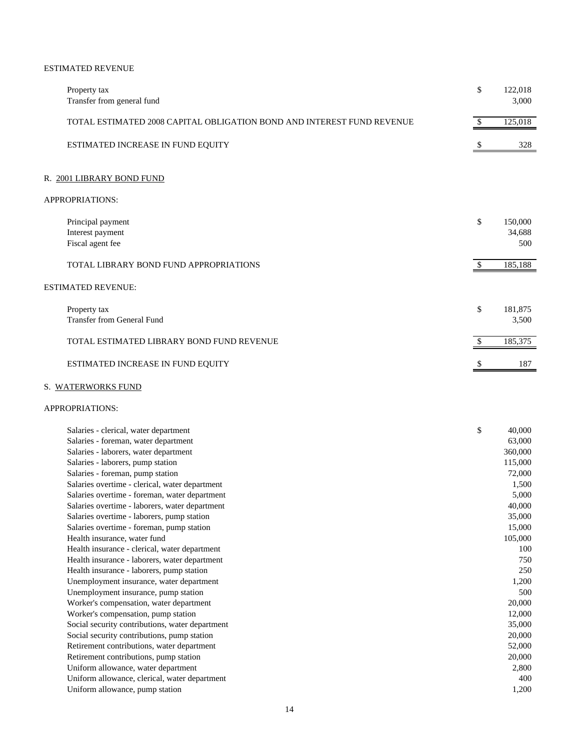# ESTIMATED REVENUE

| Property tax<br>Transfer from general fund                                                          | \$       | 122,018<br>3,000         |
|-----------------------------------------------------------------------------------------------------|----------|--------------------------|
| TOTAL ESTIMATED 2008 CAPITAL OBLIGATION BOND AND INTEREST FUND REVENUE                              | -S       | 125,018                  |
| ESTIMATED INCREASE IN FUND EQUITY                                                                   |          | 328                      |
| R. 2001 LIBRARY BOND FUND                                                                           |          |                          |
| <b>APPROPRIATIONS:</b>                                                                              |          |                          |
| Principal payment<br>Interest payment<br>Fiscal agent fee<br>TOTAL LIBRARY BOND FUND APPROPRIATIONS | \$<br>£. | 150,000<br>34,688<br>500 |
| <b>ESTIMATED REVENUE:</b>                                                                           |          | 185,188                  |
| Property tax<br><b>Transfer from General Fund</b>                                                   | \$       | 181,875<br>3,500         |
| TOTAL ESTIMATED LIBRARY BOND FUND REVENUE                                                           |          | 185,375                  |
| ESTIMATED INCREASE IN FUND EQUITY                                                                   |          | 187                      |

### S. WATERWORKS FUND

| Salaries - clerical, water department           | \$<br>40,000 |
|-------------------------------------------------|--------------|
| Salaries - foreman, water department            | 63,000       |
| Salaries - laborers, water department           | 360,000      |
| Salaries - laborers, pump station               | 115,000      |
| Salaries - foreman, pump station                | 72,000       |
| Salaries overtime - clerical, water department  | 1,500        |
| Salaries overtime - foreman, water department   | 5,000        |
| Salaries overtime - laborers, water department  | 40,000       |
| Salaries overtime - laborers, pump station      | 35,000       |
| Salaries overtime - foreman, pump station       | 15,000       |
| Health insurance, water fund                    | 105,000      |
| Health insurance - clerical, water department   | 100          |
| Health insurance - laborers, water department   | 750          |
| Health insurance - laborers, pump station       | 250          |
| Unemployment insurance, water department        | 1,200        |
| Unemployment insurance, pump station            | 500          |
| Worker's compensation, water department         | 20,000       |
| Worker's compensation, pump station             | 12,000       |
| Social security contributions, water department | 35,000       |
| Social security contributions, pump station     | 20,000       |
| Retirement contributions, water department      | 52,000       |
| Retirement contributions, pump station          | 20,000       |
| Uniform allowance, water department             | 2,800        |
| Uniform allowance, clerical, water department   | 400          |
| Uniform allowance, pump station                 | 1,200        |
|                                                 |              |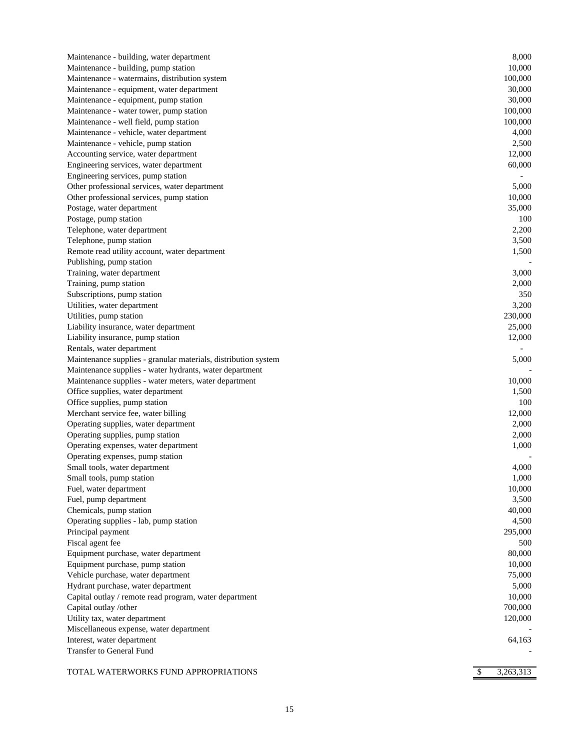| Maintenance - building, water department                       | 8,000   |
|----------------------------------------------------------------|---------|
| Maintenance - building, pump station                           | 10,000  |
| Maintenance - watermains, distribution system                  | 100,000 |
| Maintenance - equipment, water department                      | 30,000  |
| Maintenance - equipment, pump station                          | 30,000  |
| Maintenance - water tower, pump station                        | 100,000 |
| Maintenance - well field, pump station                         | 100,000 |
| Maintenance - vehicle, water department                        | 4,000   |
| Maintenance - vehicle, pump station                            | 2,500   |
| Accounting service, water department                           | 12,000  |
| Engineering services, water department                         | 60,000  |
| Engineering services, pump station                             |         |
| Other professional services, water department                  | 5,000   |
| Other professional services, pump station                      | 10,000  |
| Postage, water department                                      | 35,000  |
| Postage, pump station                                          | 100     |
| Telephone, water department                                    | 2,200   |
| Telephone, pump station                                        | 3,500   |
| Remote read utility account, water department                  | 1,500   |
| Publishing, pump station                                       |         |
| Training, water department                                     | 3,000   |
| Training, pump station                                         | 2,000   |
| Subscriptions, pump station                                    | 350     |
| Utilities, water department                                    | 3,200   |
| Utilities, pump station                                        | 230,000 |
| Liability insurance, water department                          | 25,000  |
| Liability insurance, pump station                              | 12,000  |
| Rentals, water department                                      |         |
| Maintenance supplies - granular materials, distribution system | 5,000   |
| Maintenance supplies - water hydrants, water department        |         |
| Maintenance supplies - water meters, water department          | 10,000  |
| Office supplies, water department                              | 1,500   |
| Office supplies, pump station                                  | 100     |
| Merchant service fee, water billing                            | 12,000  |
| Operating supplies, water department                           | 2,000   |
| Operating supplies, pump station                               | 2,000   |
| Operating expenses, water department                           | 1,000   |
| Operating expenses, pump station                               |         |
| Small tools, water department                                  | 4,000   |
| Small tools, pump station                                      | 1,000   |
| Fuel, water department                                         | 10,000  |
| Fuel, pump department                                          | 3,500   |
| Chemicals, pump station                                        | 40,000  |
| Operating supplies - lab, pump station                         | 4,500   |
| Principal payment                                              | 295,000 |
| Fiscal agent fee                                               | 500     |
| Equipment purchase, water department                           | 80,000  |
| Equipment purchase, pump station                               | 10,000  |
| Vehicle purchase, water department                             | 75,000  |
| Hydrant purchase, water department                             | 5,000   |
| Capital outlay / remote read program, water department         | 10,000  |
| Capital outlay /other                                          | 700,000 |
| Utility tax, water department                                  | 120,000 |
| Miscellaneous expense, water department                        |         |
| Interest, water department                                     | 64,163  |
| Transfer to General Fund                                       |         |
|                                                                |         |

| TOTAL WATERWORKS FUND APPROPRIATIONS |  | 3.263.313 |
|--------------------------------------|--|-----------|
|                                      |  |           |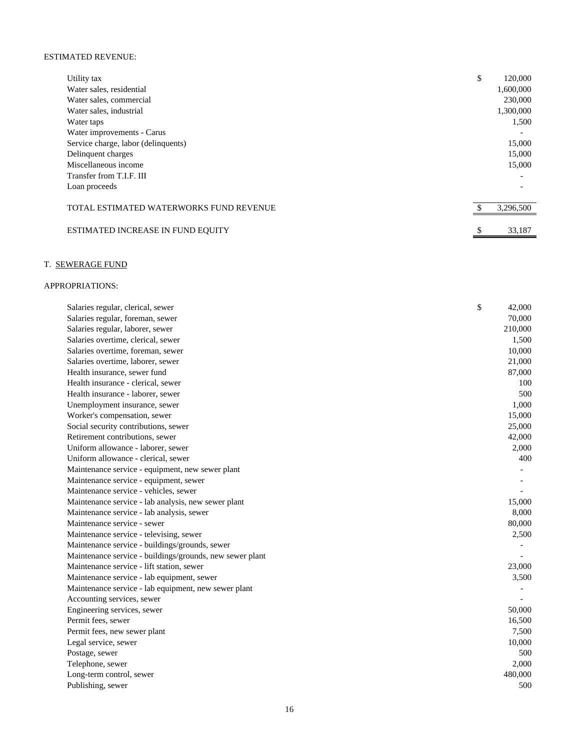## ESTIMATED REVENUE:

| Utility tax                             | \$<br>120,000 |
|-----------------------------------------|---------------|
| Water sales, residential                | 1,600,000     |
| Water sales, commercial                 | 230,000       |
| Water sales, industrial                 | 1,300,000     |
| Water taps                              | 1,500         |
| Water improvements - Carus              |               |
| Service charge, labor (delinquents)     | 15,000        |
| Delinquent charges                      | 15,000        |
| Miscellaneous income                    | 15,000        |
| Transfer from T.I.F. III                |               |
| Loan proceeds                           |               |
| TOTAL ESTIMATED WATERWORKS FUND REVENUE | 3,296,500     |
| ESTIMATED INCREASE IN FUND EQUITY       | 33,187        |

# T. SEWERAGE FUND

| Salaries regular, clerical, sewer                        | \$<br>42,000 |
|----------------------------------------------------------|--------------|
| Salaries regular, foreman, sewer                         | 70,000       |
| Salaries regular, laborer, sewer                         | 210,000      |
| Salaries overtime, clerical, sewer                       | 1,500        |
| Salaries overtime, foreman, sewer                        | 10,000       |
| Salaries overtime, laborer, sewer                        | 21,000       |
| Health insurance, sewer fund                             | 87,000       |
| Health insurance - clerical, sewer                       | 100          |
| Health insurance - laborer, sewer                        | 500          |
| Unemployment insurance, sewer                            | 1,000        |
| Worker's compensation, sewer                             | 15,000       |
| Social security contributions, sewer                     | 25,000       |
| Retirement contributions, sewer                          | 42,000       |
| Uniform allowance - laborer, sewer                       | 2,000        |
| Uniform allowance - clerical, sewer                      | 400          |
| Maintenance service - equipment, new sewer plant         |              |
| Maintenance service - equipment, sewer                   |              |
| Maintenance service - vehicles, sewer                    |              |
| Maintenance service - lab analysis, new sewer plant      | 15,000       |
| Maintenance service - lab analysis, sewer                | 8,000        |
| Maintenance service - sewer                              | 80,000       |
| Maintenance service - televising, sewer                  | 2,500        |
| Maintenance service - buildings/grounds, sewer           |              |
| Maintenance service - buildings/grounds, new sewer plant |              |
| Maintenance service - lift station, sewer                | 23,000       |
| Maintenance service - lab equipment, sewer               | 3,500        |
| Maintenance service - lab equipment, new sewer plant     |              |
| Accounting services, sewer                               |              |
| Engineering services, sewer                              | 50,000       |
| Permit fees, sewer                                       | 16,500       |
| Permit fees, new sewer plant                             | 7,500        |
| Legal service, sewer                                     | 10,000       |
| Postage, sewer                                           | 500          |
| Telephone, sewer                                         | 2,000        |
| Long-term control, sewer                                 | 480,000      |
| Publishing, sewer                                        | 500          |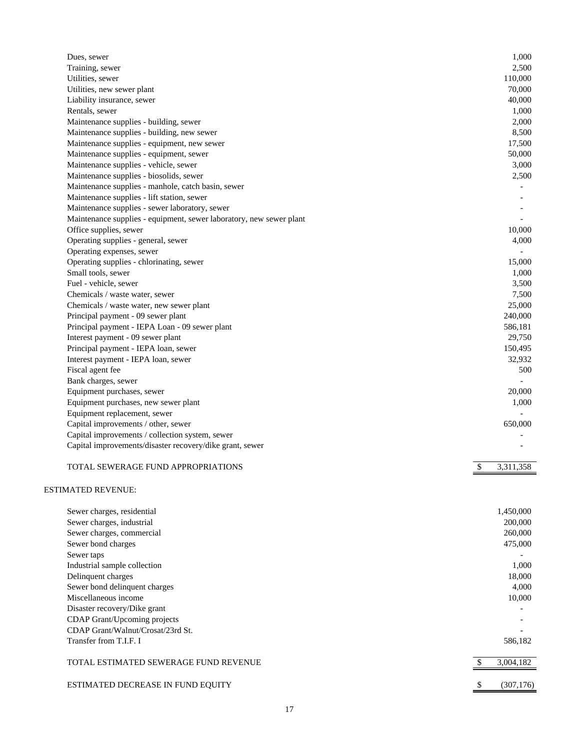| Dues, sewer                                                         | 1,000           |
|---------------------------------------------------------------------|-----------------|
| Training, sewer                                                     | 2,500           |
| Utilities, sewer                                                    | 110,000         |
| Utilities, new sewer plant                                          | 70,000          |
| Liability insurance, sewer                                          | 40,000          |
| Rentals, sewer                                                      | 1,000           |
| Maintenance supplies - building, sewer                              | 2,000           |
| Maintenance supplies - building, new sewer                          | 8,500           |
| Maintenance supplies - equipment, new sewer                         | 17,500          |
| Maintenance supplies - equipment, sewer                             | 50,000          |
| Maintenance supplies - vehicle, sewer                               | 3,000           |
| Maintenance supplies - biosolids, sewer                             | 2,500           |
| Maintenance supplies - manhole, catch basin, sewer                  |                 |
| Maintenance supplies - lift station, sewer                          |                 |
| Maintenance supplies - sewer laboratory, sewer                      |                 |
| Maintenance supplies - equipment, sewer laboratory, new sewer plant |                 |
| Office supplies, sewer                                              | 10,000          |
| Operating supplies - general, sewer                                 | 4,000           |
| Operating expenses, sewer                                           |                 |
| Operating supplies - chlorinating, sewer                            | 15,000          |
| Small tools, sewer                                                  | 1,000           |
| Fuel - vehicle, sewer                                               | 3,500           |
| Chemicals / waste water, sewer                                      | 7,500           |
| Chemicals / waste water, new sewer plant                            | 25,000          |
| Principal payment - 09 sewer plant                                  | 240,000         |
| Principal payment - IEPA Loan - 09 sewer plant                      | 586,181         |
| Interest payment - 09 sewer plant                                   | 29,750          |
| Principal payment - IEPA loan, sewer                                | 150,495         |
| Interest payment - IEPA loan, sewer                                 | 32,932          |
| Fiscal agent fee                                                    | 500             |
| Bank charges, sewer                                                 |                 |
| Equipment purchases, sewer                                          | 20,000          |
| Equipment purchases, new sewer plant                                | 1,000           |
| Equipment replacement, sewer                                        |                 |
| Capital improvements / other, sewer                                 | 650,000         |
| Capital improvements / collection system, sewer                     |                 |
| Capital improvements/disaster recovery/dike grant, sewer            |                 |
| TOTAL SEWERAGE FUND APPROPRIATIONS                                  | \$<br>3,311,358 |
| <b>ESTIMATED REVENUE:</b>                                           |                 |
| Sewer charges, residential                                          | 1,450,000       |
| Sewer charges, industrial                                           | 200,000         |
| Sewer charges, commercial                                           | 260,000         |
| Sewer bond charges                                                  | 475,000         |
| Sewer taps                                                          |                 |
| Industrial sample collection                                        | 1,000           |
| Delinquent charges                                                  | 18,000          |
| Sewer bond delinquent charges                                       | 4,000           |
| Miscellaneous income                                                | 10,000          |
| Disaster recovery/Dike grant                                        |                 |
| CDAP Grant/Upcoming projects                                        |                 |
| CDAP Grant/Walnut/Crosat/23rd St.                                   |                 |
| Transfer from T.I.F. I                                              | 586,182         |
| TOTAL ESTIMATED SEWERAGE FUND REVENUE                               | \$<br>3,004,182 |

ESTIMATED DECREASE IN FUND EQUITY (307,176)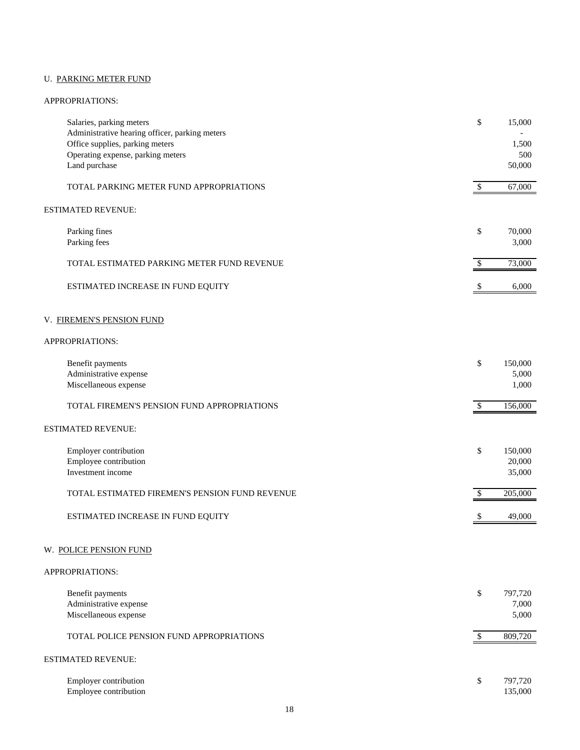# U. PARKING METER FUND

| Salaries, parking meters<br>Administrative hearing officer, parking meters<br>Office supplies, parking meters<br>Operating expense, parking meters<br>Land purchase | \$                        | 15,000<br>1,500<br>500<br>50,000 |
|---------------------------------------------------------------------------------------------------------------------------------------------------------------------|---------------------------|----------------------------------|
| TOTAL PARKING METER FUND APPROPRIATIONS                                                                                                                             | \$                        | 67,000                           |
| <b>ESTIMATED REVENUE:</b>                                                                                                                                           |                           |                                  |
| Parking fines<br>Parking fees                                                                                                                                       | \$                        | 70,000<br>3,000                  |
| TOTAL ESTIMATED PARKING METER FUND REVENUE                                                                                                                          | \$                        | 73,000                           |
| ESTIMATED INCREASE IN FUND EQUITY                                                                                                                                   | S                         | 6,000                            |
| V. FIREMEN'S PENSION FUND                                                                                                                                           |                           |                                  |
| APPROPRIATIONS:                                                                                                                                                     |                           |                                  |
| Benefit payments<br>Administrative expense<br>Miscellaneous expense                                                                                                 | \$                        | 150,000<br>5,000<br>1,000        |
| TOTAL FIREMEN'S PENSION FUND APPROPRIATIONS                                                                                                                         | $\boldsymbol{\mathsf{S}}$ | 156,000                          |
| <b>ESTIMATED REVENUE:</b>                                                                                                                                           |                           |                                  |
| Employer contribution<br>Employee contribution<br>Investment income                                                                                                 | \$                        | 150,000<br>20,000<br>35,000      |
| TOTAL ESTIMATED FIREMEN'S PENSION FUND REVENUE                                                                                                                      | \$                        | 205,000                          |
| ESTIMATED INCREASE IN FUND EQUITY                                                                                                                                   | \$                        | 49,000                           |
| W. POLICE PENSION FUND                                                                                                                                              |                           |                                  |
| APPROPRIATIONS:                                                                                                                                                     |                           |                                  |
| Benefit payments<br>Administrative expense<br>Miscellaneous expense                                                                                                 | \$                        | 797,720<br>7,000<br>5,000        |
| TOTAL POLICE PENSION FUND APPROPRIATIONS                                                                                                                            | \$                        | 809,720                          |
| <b>ESTIMATED REVENUE:</b>                                                                                                                                           |                           |                                  |
| Employer contribution<br>Employee contribution                                                                                                                      | \$                        | 797,720<br>135,000               |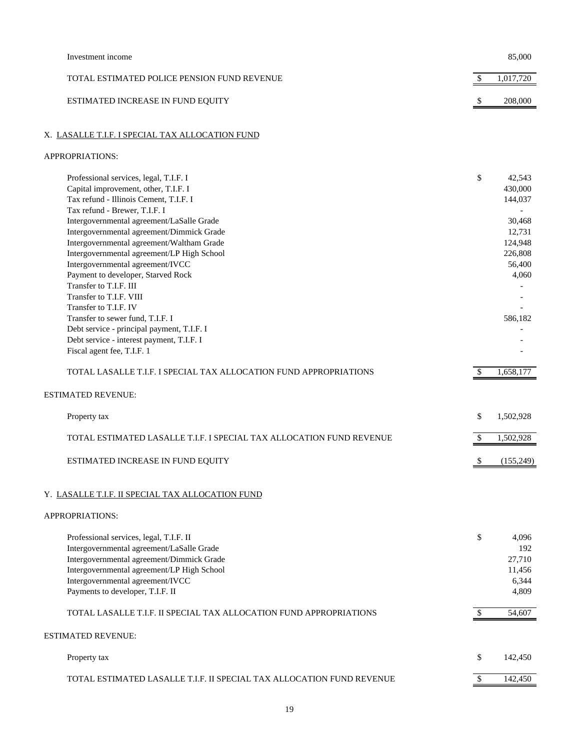| Investment income                                                              |              | 85,000             |
|--------------------------------------------------------------------------------|--------------|--------------------|
| TOTAL ESTIMATED POLICE PENSION FUND REVENUE                                    | \$           | 1,017,720          |
| ESTIMATED INCREASE IN FUND EQUITY                                              |              | 208,000            |
| X. LASALLE T.I.F. I SPECIAL TAX ALLOCATION FUND                                |              |                    |
| APPROPRIATIONS:                                                                |              |                    |
| Professional services, legal, T.I.F. I                                         | \$           | 42,543             |
| Capital improvement, other, T.I.F. I                                           |              | 430,000            |
| Tax refund - Illinois Cement, T.I.F. I                                         |              | 144,037            |
| Tax refund - Brewer, T.I.F. I                                                  |              |                    |
| Intergovernmental agreement/LaSalle Grade                                      |              | 30,468             |
| Intergovernmental agreement/Dimmick Grade                                      |              | 12,731             |
| Intergovernmental agreement/Waltham Grade                                      |              | 124,948<br>226,808 |
| Intergovernmental agreement/LP High School<br>Intergovernmental agreement/IVCC |              | 56,400             |
| Payment to developer, Starved Rock                                             |              | 4,060              |
| Transfer to T.I.F. III                                                         |              |                    |
| Transfer to T.I.F. VIII                                                        |              |                    |
| Transfer to T.I.F. IV                                                          |              |                    |
| Transfer to sewer fund, T.I.F. I                                               |              | 586,182            |
| Debt service - principal payment, T.I.F. I                                     |              |                    |
| Debt service - interest payment, T.I.F. I                                      |              |                    |
| Fiscal agent fee, T.I.F. 1                                                     |              |                    |
| TOTAL LASALLE T.I.F. I SPECIAL TAX ALLOCATION FUND APPROPRIATIONS              | \$           | 1,658,177          |
| <b>ESTIMATED REVENUE:</b>                                                      |              |                    |
| Property tax                                                                   | \$           | 1,502,928          |
| TOTAL ESTIMATED LASALLE T.I.F. I SPECIAL TAX ALLOCATION FUND REVENUE           | \$.          | 1,502,928          |
| ESTIMATED INCREASE IN FUND EQUITY                                              | \$           | (155, 249)         |
| Y. LASALLE T.I.F. II SPECIAL TAX ALLOCATION FUND                               |              |                    |
|                                                                                |              |                    |
| APPROPRIATIONS:                                                                |              |                    |
| Professional services, legal, T.I.F. II                                        | \$           | 4,096              |
| Intergovernmental agreement/LaSalle Grade                                      |              | 192                |
| Intergovernmental agreement/Dimmick Grade                                      |              | 27,710             |
| Intergovernmental agreement/LP High School                                     |              | 11,456             |
| Intergovernmental agreement/IVCC                                               |              | 6,344              |
| Payments to developer, T.I.F. II                                               |              | 4,809              |
| TOTAL LASALLE T.I.F. II SPECIAL TAX ALLOCATION FUND APPROPRIATIONS             | $\mathbb{S}$ | 54,607             |
| <b>ESTIMATED REVENUE:</b>                                                      |              |                    |
| Property tax                                                                   | \$           | 142,450            |
| TOTAL ESTIMATED LASALLE T.I.F. II SPECIAL TAX ALLOCATION FUND REVENUE          | \$.          | 142,450            |
|                                                                                |              |                    |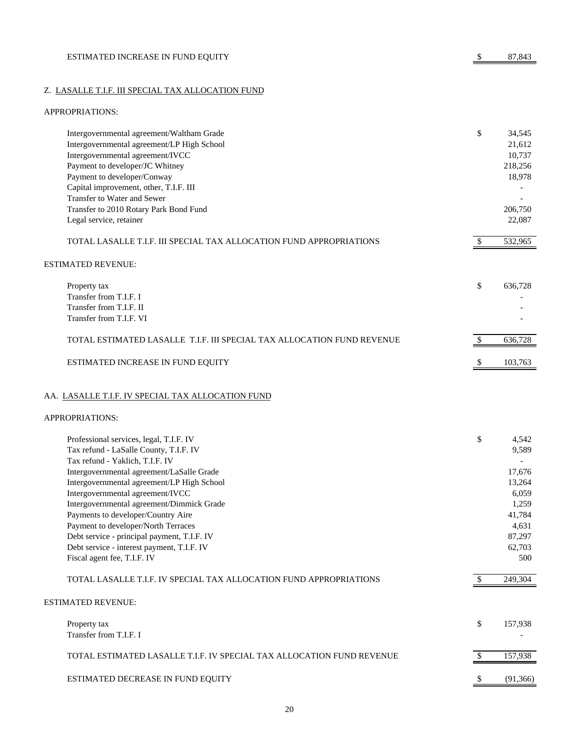# Z. LASALLE T.I.F. III SPECIAL TAX ALLOCATION FUND

| Intergovernmental agreement/Waltham Grade                              | \$           | 34,545    |
|------------------------------------------------------------------------|--------------|-----------|
| Intergovernmental agreement/LP High School                             |              | 21,612    |
| Intergovernmental agreement/IVCC                                       |              | 10,737    |
| Payment to developer/JC Whitney                                        |              | 218,256   |
| Payment to developer/Conway                                            |              | 18,978    |
| Capital improvement, other, T.I.F. III                                 |              |           |
| Transfer to Water and Sewer                                            |              |           |
| Transfer to 2010 Rotary Park Bond Fund                                 |              | 206,750   |
| Legal service, retainer                                                |              | 22,087    |
| TOTAL LASALLE T.I.F. III SPECIAL TAX ALLOCATION FUND APPROPRIATIONS    | \$           | 532,965   |
| <b>ESTIMATED REVENUE:</b>                                              |              |           |
| Property tax                                                           | \$           | 636,728   |
| Transfer from T.I.F. I                                                 |              |           |
| Transfer from T.I.F. II                                                |              |           |
| Transfer from T.I.F. VI                                                |              |           |
| TOTAL ESTIMATED LASALLE T.I.F. III SPECIAL TAX ALLOCATION FUND REVENUE | $\mathbb{S}$ | 636,728   |
| ESTIMATED INCREASE IN FUND EQUITY                                      | \$           | 103,763   |
| AA. LASALLE T.I.F. IV SPECIAL TAX ALLOCATION FUND                      |              |           |
| APPROPRIATIONS:                                                        |              |           |
| Professional services, legal, T.I.F. IV                                | \$           | 4,542     |
| Tax refund - LaSalle County, T.I.F. IV                                 |              | 9,589     |
| Tax refund - Yaklich, T.I.F. IV                                        |              |           |
| Intergovernmental agreement/LaSalle Grade                              |              | 17,676    |
| Intergovernmental agreement/LP High School                             |              | 13,264    |
| Intergovernmental agreement/IVCC                                       |              | 6,059     |
| Intergovernmental agreement/Dimmick Grade                              |              | 1,259     |
| Payments to developer/Country Aire                                     |              | 41,784    |
| Payment to developer/North Terraces                                    |              | 4,631     |
| Debt service - principal payment, T.I.F. IV                            |              | 87,297    |
| Debt service - interest payment, T.I.F. IV                             |              | 62,703    |
| Fiscal agent fee, T.I.F. IV                                            |              | 500       |
| TOTAL LASALLE T.I.F. IV SPECIAL TAX ALLOCATION FUND APPROPRIATIONS     | -S           | 249,304   |
| <b>ESTIMATED REVENUE:</b>                                              |              |           |
| Property tax                                                           | \$           | 157,938   |
| Transfer from T.I.F. I                                                 |              |           |
| TOTAL ESTIMATED LASALLE T.I.F. IV SPECIAL TAX ALLOCATION FUND REVENUE  | $\mathbb{S}$ | 157,938   |
| ESTIMATED DECREASE IN FUND EQUITY                                      |              | (91, 366) |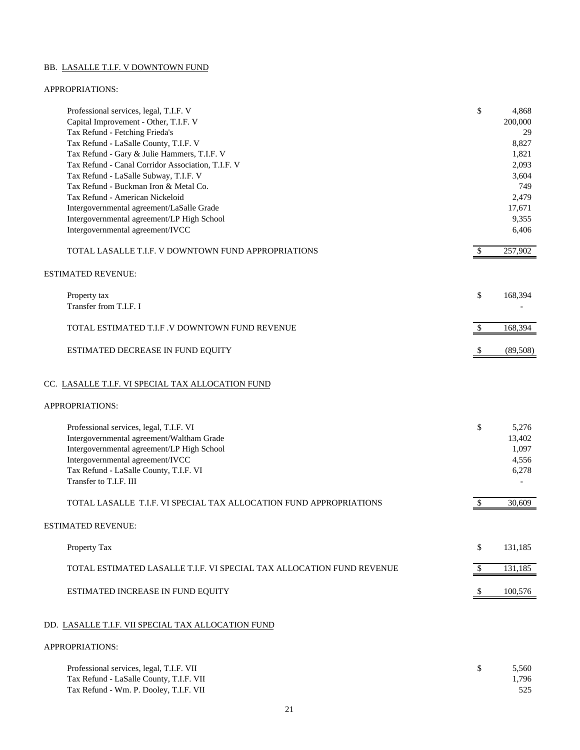# BB. LASALLE T.I.F. V DOWNTOWN FUND

| Professional services, legal, T.I.F. V<br>Capital Improvement - Other, T.I.F. V<br>Tax Refund - Fetching Frieda's<br>Tax Refund - LaSalle County, T.I.F. V<br>Tax Refund - Gary & Julie Hammers, T.I.F. V<br>Tax Refund - Canal Corridor Association, T.I.F. V<br>Tax Refund - LaSalle Subway, T.I.F. V<br>Tax Refund - Buckman Iron & Metal Co.<br>Tax Refund - American Nickeloid<br>Intergovernmental agreement/LaSalle Grade<br>Intergovernmental agreement/LP High School<br>Intergovernmental agreement/IVCC | \$       | 4,868<br>200,000<br>29<br>8,827<br>1,821<br>2,093<br>3,604<br>749<br>2,479<br>17,671<br>9,355<br>6,406 |
|--------------------------------------------------------------------------------------------------------------------------------------------------------------------------------------------------------------------------------------------------------------------------------------------------------------------------------------------------------------------------------------------------------------------------------------------------------------------------------------------------------------------|----------|--------------------------------------------------------------------------------------------------------|
| TOTAL LASALLE T.I.F. V DOWNTOWN FUND APPROPRIATIONS                                                                                                                                                                                                                                                                                                                                                                                                                                                                | $\$$     | 257,902                                                                                                |
| <b>ESTIMATED REVENUE:</b>                                                                                                                                                                                                                                                                                                                                                                                                                                                                                          |          |                                                                                                        |
| Property tax<br>Transfer from T.I.F. I                                                                                                                                                                                                                                                                                                                                                                                                                                                                             | \$       | 168,394                                                                                                |
| TOTAL ESTIMATED T.I.F .V DOWNTOWN FUND REVENUE                                                                                                                                                                                                                                                                                                                                                                                                                                                                     | \$       | 168,394                                                                                                |
| ESTIMATED DECREASE IN FUND EQUITY                                                                                                                                                                                                                                                                                                                                                                                                                                                                                  | \$       | (89, 508)                                                                                              |
| CC. LASALLE T.I.F. VI SPECIAL TAX ALLOCATION FUND                                                                                                                                                                                                                                                                                                                                                                                                                                                                  |          |                                                                                                        |
| APPROPRIATIONS:                                                                                                                                                                                                                                                                                                                                                                                                                                                                                                    |          |                                                                                                        |
| Professional services, legal, T.I.F. VI<br>Intergovernmental agreement/Waltham Grade<br>Intergovernmental agreement/LP High School<br>Intergovernmental agreement/IVCC<br>Tax Refund - LaSalle County, T.I.F. VI<br>Transfer to T.I.F. III<br>TOTAL LASALLE T.I.F. VI SPECIAL TAX ALLOCATION FUND APPROPRIATIONS                                                                                                                                                                                                   | \$<br>\$ | 5,276<br>13,402<br>1,097<br>4,556<br>6,278<br>30,609                                                   |
| <b>ESTIMATED REVENUE:</b>                                                                                                                                                                                                                                                                                                                                                                                                                                                                                          |          |                                                                                                        |
|                                                                                                                                                                                                                                                                                                                                                                                                                                                                                                                    |          |                                                                                                        |
| Property Tax                                                                                                                                                                                                                                                                                                                                                                                                                                                                                                       | \$       | 131,185                                                                                                |
| TOTAL ESTIMATED LASALLE T.I.F. VI SPECIAL TAX ALLOCATION FUND REVENUE                                                                                                                                                                                                                                                                                                                                                                                                                                              | \$       | 131,185                                                                                                |
| ESTIMATED INCREASE IN FUND EQUITY                                                                                                                                                                                                                                                                                                                                                                                                                                                                                  | $\$\,$   | 100,576                                                                                                |
| DD. LASALLE T.I.F. VII SPECIAL TAX ALLOCATION FUND                                                                                                                                                                                                                                                                                                                                                                                                                                                                 |          |                                                                                                        |
| APPROPRIATIONS:                                                                                                                                                                                                                                                                                                                                                                                                                                                                                                    |          |                                                                                                        |

| Professional services, legal, T.I.F. VII | 5.560 |
|------------------------------------------|-------|
| Tax Refund - LaSalle County, T.I.F. VII  | 1,796 |
| Tax Refund - Wm. P. Dooley, T.I.F. VII   |       |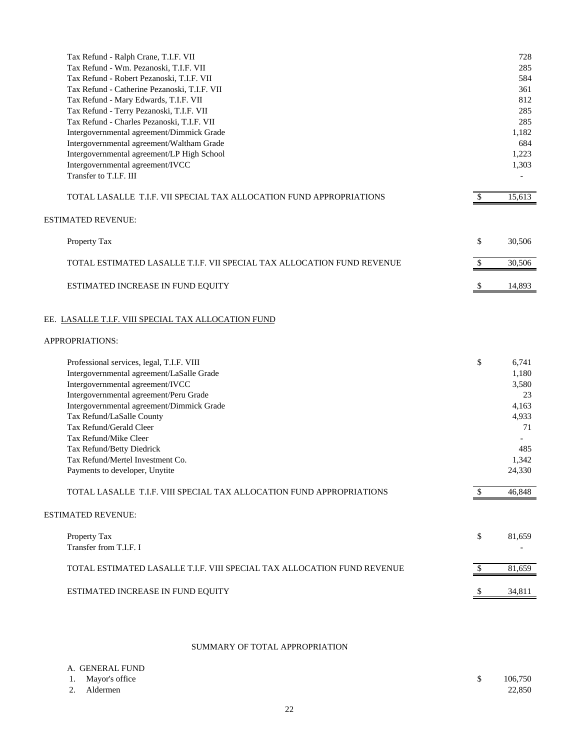| Tax Refund - Ralph Crane, T.I.F. VII<br>Tax Refund - Wm. Pezanoski, T.I.F. VII<br>Tax Refund - Robert Pezanoski, T.I.F. VII<br>Tax Refund - Catherine Pezanoski, T.I.F. VII<br>Tax Refund - Mary Edwards, T.I.F. VII<br>Tax Refund - Terry Pezanoski, T.I.F. VII<br>Tax Refund - Charles Pezanoski, T.I.F. VII<br>Intergovernmental agreement/Dimmick Grade<br>Intergovernmental agreement/Waltham Grade<br>Intergovernmental agreement/LP High School<br>Intergovernmental agreement/IVCC<br>Transfer to T.I.F. III |              | 728<br>285<br>584<br>361<br>812<br>285<br>285<br>1,182<br>684<br>1,223<br>1,303           |
|----------------------------------------------------------------------------------------------------------------------------------------------------------------------------------------------------------------------------------------------------------------------------------------------------------------------------------------------------------------------------------------------------------------------------------------------------------------------------------------------------------------------|--------------|-------------------------------------------------------------------------------------------|
| TOTAL LASALLE T.I.F. VII SPECIAL TAX ALLOCATION FUND APPROPRIATIONS                                                                                                                                                                                                                                                                                                                                                                                                                                                  | $\mathbb{S}$ | 15,613                                                                                    |
| <b>ESTIMATED REVENUE:</b>                                                                                                                                                                                                                                                                                                                                                                                                                                                                                            |              |                                                                                           |
| Property Tax                                                                                                                                                                                                                                                                                                                                                                                                                                                                                                         | \$           | 30,506                                                                                    |
| TOTAL ESTIMATED LASALLE T.I.F. VII SPECIAL TAX ALLOCATION FUND REVENUE                                                                                                                                                                                                                                                                                                                                                                                                                                               | \$           | 30,506                                                                                    |
| ESTIMATED INCREASE IN FUND EQUITY                                                                                                                                                                                                                                                                                                                                                                                                                                                                                    | \$           | 14,893                                                                                    |
| EE. LASALLE T.I.F. VIII SPECIAL TAX ALLOCATION FUND<br>APPROPRIATIONS:                                                                                                                                                                                                                                                                                                                                                                                                                                               |              |                                                                                           |
| Professional services, legal, T.I.F. VIII<br>Intergovernmental agreement/LaSalle Grade<br>Intergovernmental agreement/IVCC<br>Intergovernmental agreement/Peru Grade<br>Intergovernmental agreement/Dimmick Grade<br>Tax Refund/LaSalle County<br>Tax Refund/Gerald Cleer<br>Tax Refund/Mike Cleer<br>Tax Refund/Betty Diedrick<br>Tax Refund/Mertel Investment Co.<br>Payments to developer, Unytite<br>TOTAL LASALLE T.I.F. VIII SPECIAL TAX ALLOCATION FUND APPROPRIATIONS                                        | \$<br>\$     | 6,741<br>1,180<br>3,580<br>23<br>4,163<br>4,933<br>71<br>485<br>1,342<br>24,330<br>46,848 |
|                                                                                                                                                                                                                                                                                                                                                                                                                                                                                                                      |              |                                                                                           |
| <b>ESTIMATED REVENUE:</b>                                                                                                                                                                                                                                                                                                                                                                                                                                                                                            |              |                                                                                           |
| Property Tax<br>Transfer from T.I.F. I                                                                                                                                                                                                                                                                                                                                                                                                                                                                               | \$           | 81,659                                                                                    |
| TOTAL ESTIMATED LASALLE T.I.F. VIII SPECIAL TAX ALLOCATION FUND REVENUE                                                                                                                                                                                                                                                                                                                                                                                                                                              | \$.          | 81,659                                                                                    |
| ESTIMATED INCREASE IN FUND EQUITY                                                                                                                                                                                                                                                                                                                                                                                                                                                                                    |              | 34,811                                                                                    |

# SUMMARY OF TOTAL APPROPRIATION

| A. GENERAL FUND   |         |
|-------------------|---------|
| 1. Mayor's office | 106,750 |
| 2. Aldermen       | 22,850  |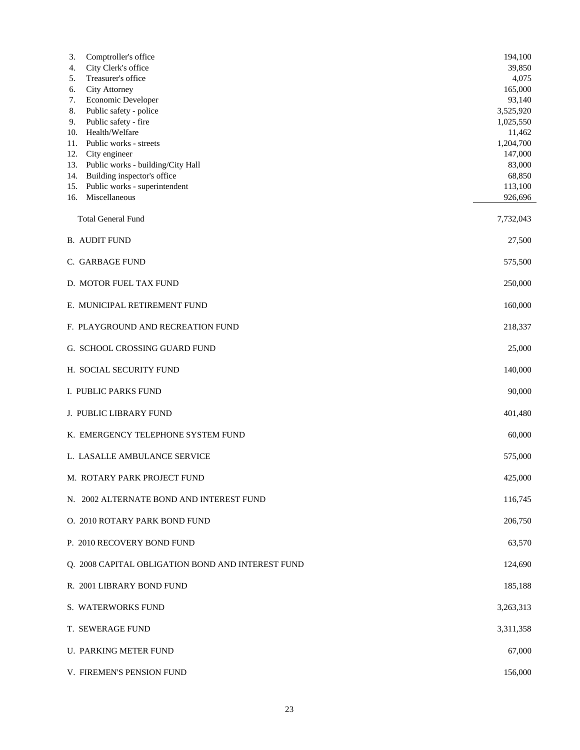| 3.<br>Comptroller's office<br>City Clerk's office<br>4.<br>Treasurer's office<br>5.<br>City Attorney<br>6.<br>Economic Developer<br>7.<br>Public safety - police<br>8.<br>Public safety - fire<br>9.<br>Health/Welfare<br>10.<br>Public works - streets<br>11.<br>City engineer<br>12.<br>Public works - building/City Hall<br>13.<br>Building inspector's office<br>14.<br>Public works - superintendent<br>15.<br>Miscellaneous<br>16. | 194,100<br>39,850<br>4,075<br>165,000<br>93,140<br>3,525,920<br>1,025,550<br>11,462<br>1,204,700<br>147,000<br>83,000<br>68,850<br>113,100<br>926,696 |
|------------------------------------------------------------------------------------------------------------------------------------------------------------------------------------------------------------------------------------------------------------------------------------------------------------------------------------------------------------------------------------------------------------------------------------------|-------------------------------------------------------------------------------------------------------------------------------------------------------|
| <b>Total General Fund</b>                                                                                                                                                                                                                                                                                                                                                                                                                | 7,732,043                                                                                                                                             |
| <b>B. AUDIT FUND</b>                                                                                                                                                                                                                                                                                                                                                                                                                     | 27,500                                                                                                                                                |
| C. GARBAGE FUND                                                                                                                                                                                                                                                                                                                                                                                                                          | 575,500                                                                                                                                               |
| D. MOTOR FUEL TAX FUND                                                                                                                                                                                                                                                                                                                                                                                                                   | 250,000                                                                                                                                               |
| E. MUNICIPAL RETIREMENT FUND                                                                                                                                                                                                                                                                                                                                                                                                             | 160,000                                                                                                                                               |
| F. PLAYGROUND AND RECREATION FUND                                                                                                                                                                                                                                                                                                                                                                                                        | 218,337                                                                                                                                               |
| G. SCHOOL CROSSING GUARD FUND                                                                                                                                                                                                                                                                                                                                                                                                            | 25,000                                                                                                                                                |
| H. SOCIAL SECURITY FUND                                                                                                                                                                                                                                                                                                                                                                                                                  | 140,000                                                                                                                                               |
| I. PUBLIC PARKS FUND                                                                                                                                                                                                                                                                                                                                                                                                                     | 90,000                                                                                                                                                |
| J. PUBLIC LIBRARY FUND                                                                                                                                                                                                                                                                                                                                                                                                                   | 401,480                                                                                                                                               |
| K. EMERGENCY TELEPHONE SYSTEM FUND                                                                                                                                                                                                                                                                                                                                                                                                       | 60,000                                                                                                                                                |
| L. LASALLE AMBULANCE SERVICE                                                                                                                                                                                                                                                                                                                                                                                                             | 575,000                                                                                                                                               |
| M. ROTARY PARK PROJECT FUND                                                                                                                                                                                                                                                                                                                                                                                                              | 425,000                                                                                                                                               |
| N. 2002 ALTERNATE BOND AND INTEREST FUND                                                                                                                                                                                                                                                                                                                                                                                                 | 116,745                                                                                                                                               |
| O. 2010 ROTARY PARK BOND FUND                                                                                                                                                                                                                                                                                                                                                                                                            | 206,750                                                                                                                                               |
| P. 2010 RECOVERY BOND FUND                                                                                                                                                                                                                                                                                                                                                                                                               | 63,570                                                                                                                                                |
| Q. 2008 CAPITAL OBLIGATION BOND AND INTEREST FUND                                                                                                                                                                                                                                                                                                                                                                                        | 124,690                                                                                                                                               |
| R. 2001 LIBRARY BOND FUND                                                                                                                                                                                                                                                                                                                                                                                                                | 185,188                                                                                                                                               |
| S. WATERWORKS FUND                                                                                                                                                                                                                                                                                                                                                                                                                       | 3,263,313                                                                                                                                             |
| T. SEWERAGE FUND                                                                                                                                                                                                                                                                                                                                                                                                                         | 3,311,358                                                                                                                                             |
| <b>U. PARKING METER FUND</b>                                                                                                                                                                                                                                                                                                                                                                                                             | 67,000                                                                                                                                                |
| V. FIREMEN'S PENSION FUND                                                                                                                                                                                                                                                                                                                                                                                                                | 156,000                                                                                                                                               |